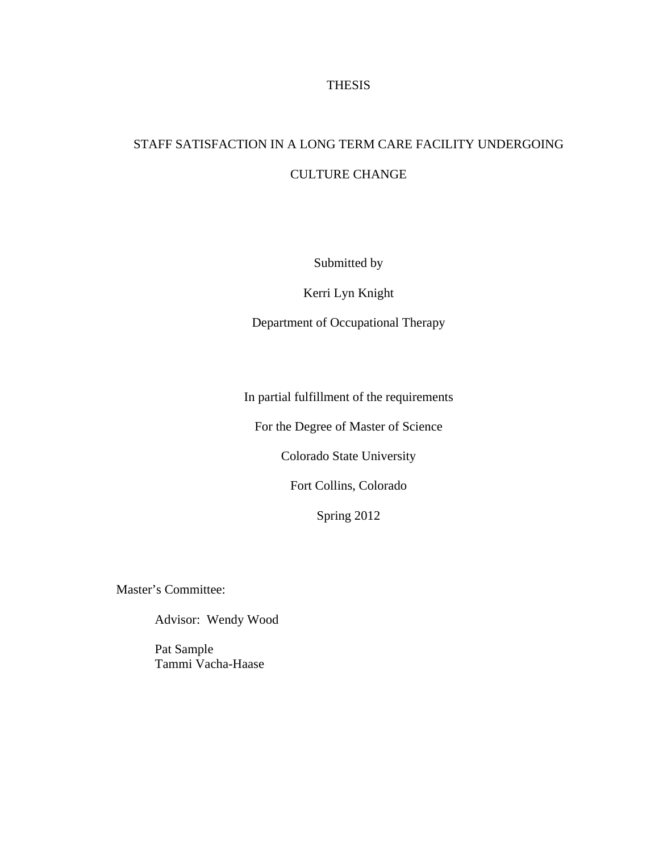## THESIS

# STAFF SATISFACTION IN A LONG TERM CARE FACILITY UNDERGOING CULTURE CHANGE

Submitted by

Kerri Lyn Knight

Department of Occupational Therapy

In partial fulfillment of the requirements

For the Degree of Master of Science

Colorado State University

Fort Collins, Colorado

Spring 2012

Master's Committee:

Advisor: Wendy Wood

 Pat Sample Tammi Vacha-Haase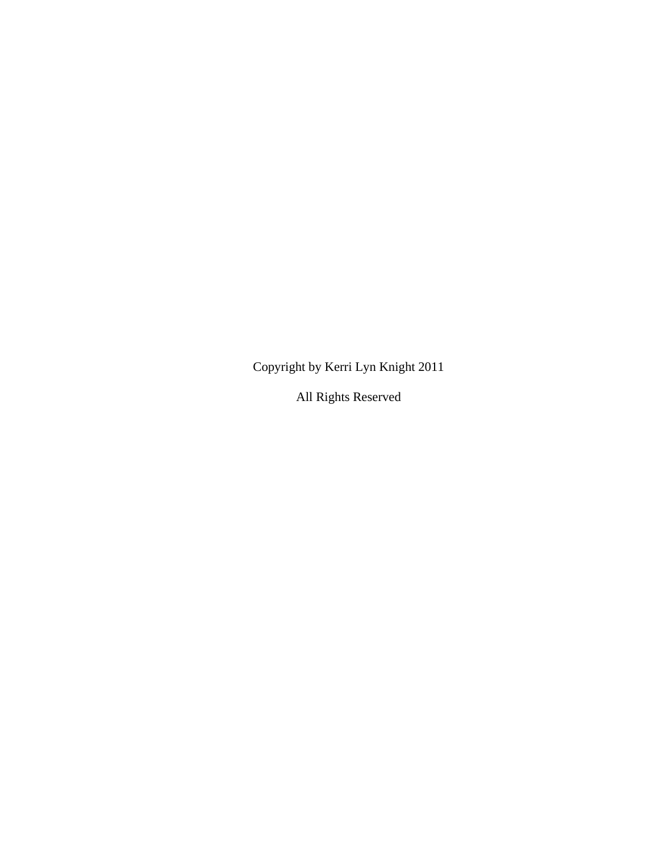Copyright by Kerri Lyn Knight 2011

All Rights Reserved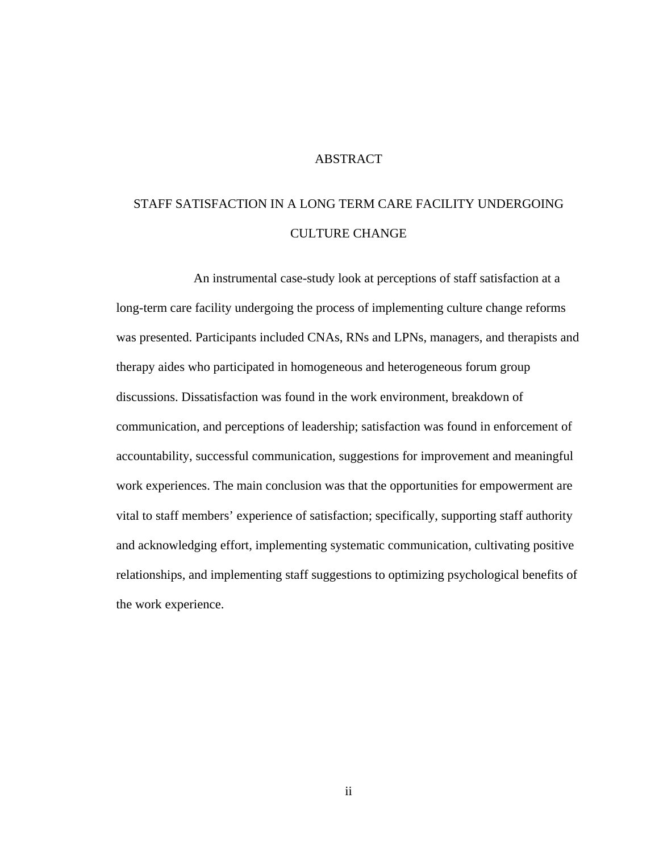## ABSTRACT

# STAFF SATISFACTION IN A LONG TERM CARE FACILITY UNDERGOING CULTURE CHANGE

 An instrumental case-study look at perceptions of staff satisfaction at a long-term care facility undergoing the process of implementing culture change reforms was presented. Participants included CNAs, RNs and LPNs, managers, and therapists and therapy aides who participated in homogeneous and heterogeneous forum group discussions. Dissatisfaction was found in the work environment, breakdown of communication, and perceptions of leadership; satisfaction was found in enforcement of accountability, successful communication, suggestions for improvement and meaningful work experiences. The main conclusion was that the opportunities for empowerment are vital to staff members' experience of satisfaction; specifically, supporting staff authority and acknowledging effort, implementing systematic communication, cultivating positive relationships, and implementing staff suggestions to optimizing psychological benefits of the work experience.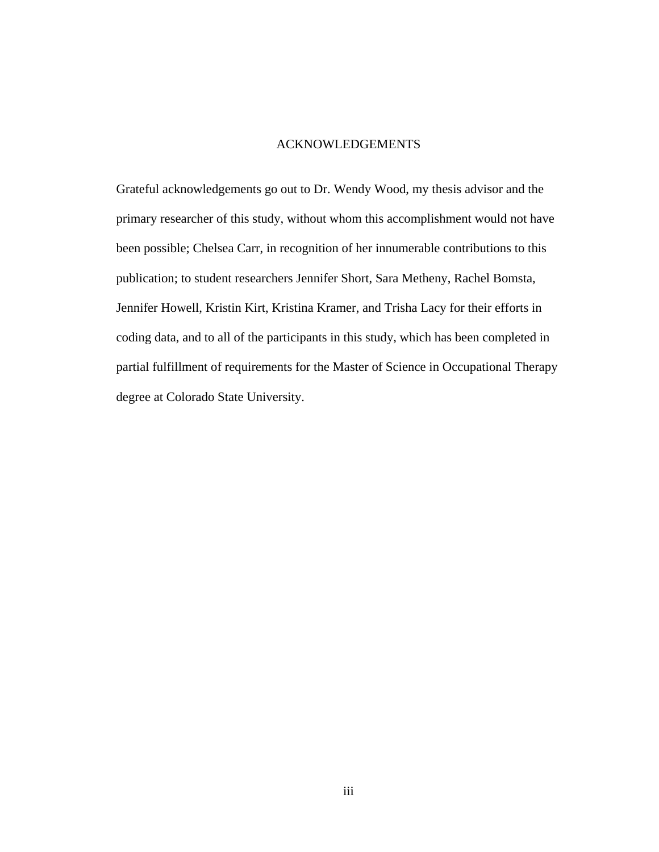## ACKNOWLEDGEMENTS

Grateful acknowledgements go out to Dr. Wendy Wood, my thesis advisor and the primary researcher of this study, without whom this accomplishment would not have been possible; Chelsea Carr, in recognition of her innumerable contributions to this publication; to student researchers Jennifer Short, Sara Metheny, Rachel Bomsta, Jennifer Howell, Kristin Kirt, Kristina Kramer, and Trisha Lacy for their efforts in coding data, and to all of the participants in this study, which has been completed in partial fulfillment of requirements for the Master of Science in Occupational Therapy degree at Colorado State University.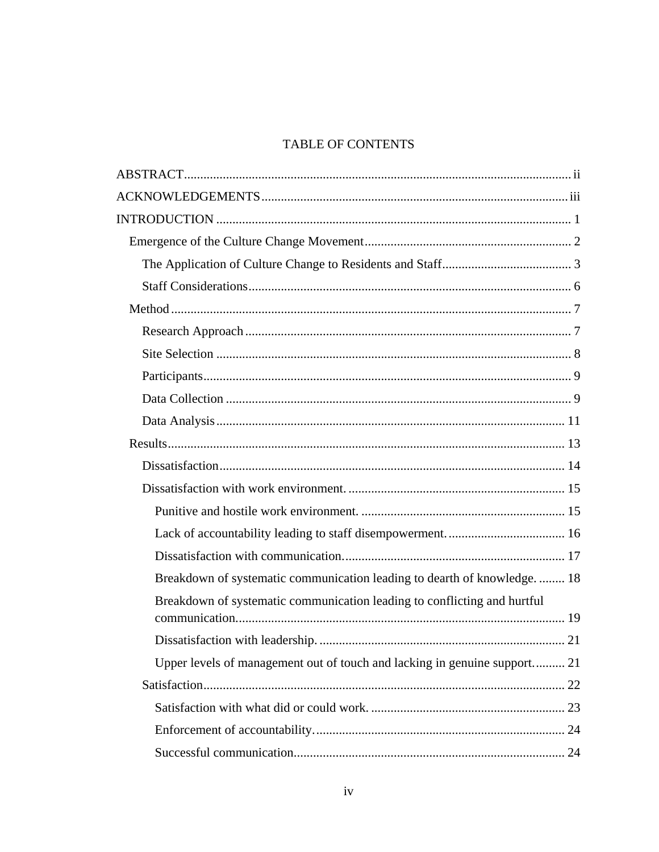## **TABLE OF CONTENTS**

| Breakdown of systematic communication leading to dearth of knowledge 18   |
|---------------------------------------------------------------------------|
| Breakdown of systematic communication leading to conflicting and hurtful  |
|                                                                           |
| Upper levels of management out of touch and lacking in genuine support 21 |
|                                                                           |
|                                                                           |
|                                                                           |
|                                                                           |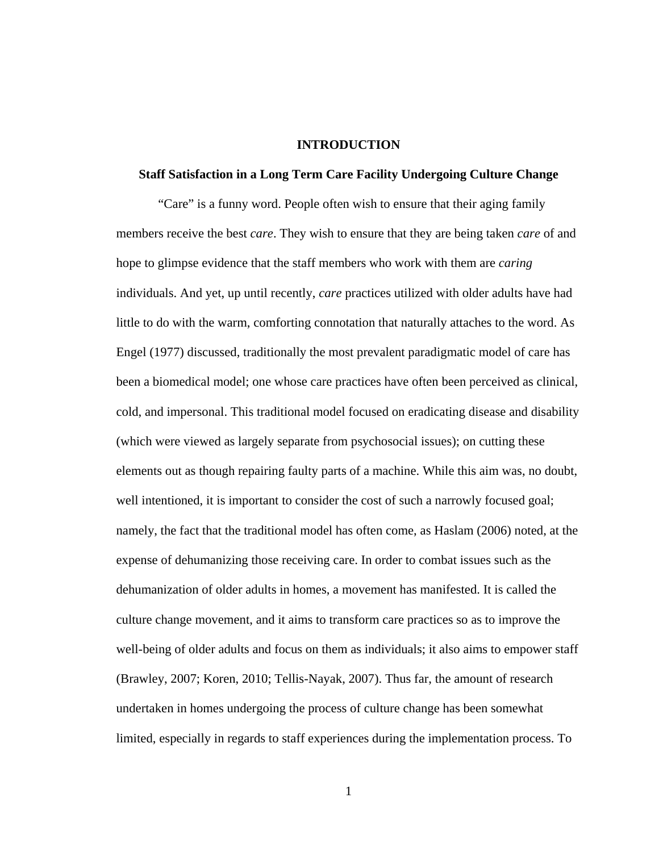#### **INTRODUCTION**

### **Staff Satisfaction in a Long Term Care Facility Undergoing Culture Change**

 "Care" is a funny word. People often wish to ensure that their aging family members receive the best *care*. They wish to ensure that they are being taken *care* of and hope to glimpse evidence that the staff members who work with them are *caring* individuals. And yet, up until recently, *care* practices utilized with older adults have had little to do with the warm, comforting connotation that naturally attaches to the word. As Engel (1977) discussed, traditionally the most prevalent paradigmatic model of care has been a biomedical model; one whose care practices have often been perceived as clinical, cold, and impersonal. This traditional model focused on eradicating disease and disability (which were viewed as largely separate from psychosocial issues); on cutting these elements out as though repairing faulty parts of a machine. While this aim was, no doubt, well intentioned, it is important to consider the cost of such a narrowly focused goal; namely, the fact that the traditional model has often come, as Haslam (2006) noted, at the expense of dehumanizing those receiving care. In order to combat issues such as the dehumanization of older adults in homes, a movement has manifested. It is called the culture change movement, and it aims to transform care practices so as to improve the well-being of older adults and focus on them as individuals; it also aims to empower staff (Brawley, 2007; Koren, 2010; Tellis-Nayak, 2007). Thus far, the amount of research undertaken in homes undergoing the process of culture change has been somewhat limited, especially in regards to staff experiences during the implementation process. To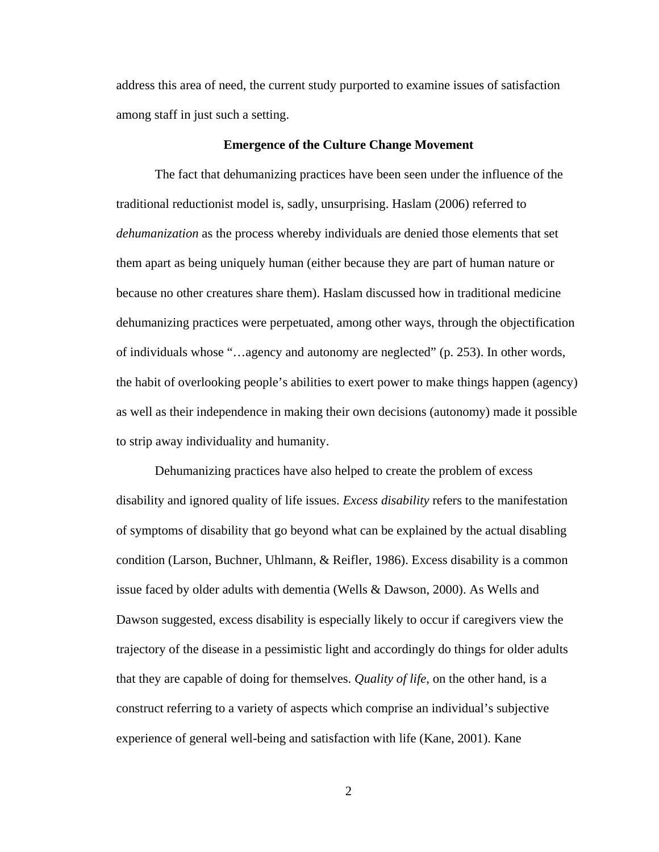address this area of need, the current study purported to examine issues of satisfaction among staff in just such a setting.

#### **Emergence of the Culture Change Movement**

The fact that dehumanizing practices have been seen under the influence of the traditional reductionist model is, sadly, unsurprising. Haslam (2006) referred to *dehumanization* as the process whereby individuals are denied those elements that set them apart as being uniquely human (either because they are part of human nature or because no other creatures share them). Haslam discussed how in traditional medicine dehumanizing practices were perpetuated, among other ways, through the objectification of individuals whose "…agency and autonomy are neglected" (p. 253). In other words, the habit of overlooking people's abilities to exert power to make things happen (agency) as well as their independence in making their own decisions (autonomy) made it possible to strip away individuality and humanity.

Dehumanizing practices have also helped to create the problem of excess disability and ignored quality of life issues. *Excess disability* refers to the manifestation of symptoms of disability that go beyond what can be explained by the actual disabling condition (Larson, Buchner, Uhlmann, & Reifler, 1986). Excess disability is a common issue faced by older adults with dementia (Wells & Dawson, 2000). As Wells and Dawson suggested, excess disability is especially likely to occur if caregivers view the trajectory of the disease in a pessimistic light and accordingly do things for older adults that they are capable of doing for themselves. *Quality of life*, on the other hand, is a construct referring to a variety of aspects which comprise an individual's subjective experience of general well-being and satisfaction with life (Kane, 2001). Kane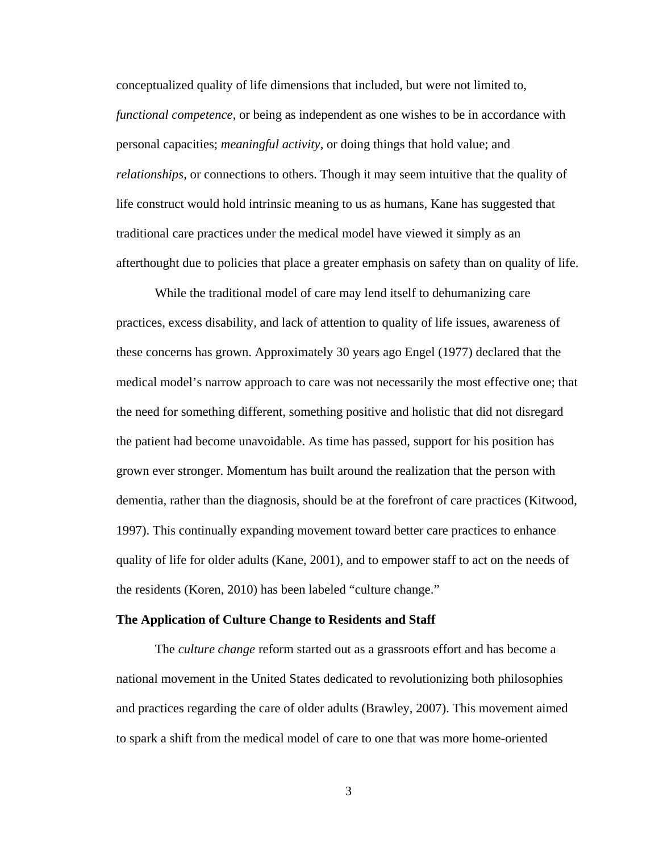conceptualized quality of life dimensions that included, but were not limited to, *functional competence*, or being as independent as one wishes to be in accordance with personal capacities; *meaningful activity*, or doing things that hold value; and *relationships*, or connections to others. Though it may seem intuitive that the quality of life construct would hold intrinsic meaning to us as humans, Kane has suggested that traditional care practices under the medical model have viewed it simply as an afterthought due to policies that place a greater emphasis on safety than on quality of life.

While the traditional model of care may lend itself to dehumanizing care practices, excess disability, and lack of attention to quality of life issues, awareness of these concerns has grown. Approximately 30 years ago Engel (1977) declared that the medical model's narrow approach to care was not necessarily the most effective one; that the need for something different, something positive and holistic that did not disregard the patient had become unavoidable. As time has passed, support for his position has grown ever stronger. Momentum has built around the realization that the person with dementia, rather than the diagnosis, should be at the forefront of care practices (Kitwood, 1997). This continually expanding movement toward better care practices to enhance quality of life for older adults (Kane, 2001), and to empower staff to act on the needs of the residents (Koren, 2010) has been labeled "culture change."

#### **The Application of Culture Change to Residents and Staff**

The *culture change* reform started out as a grassroots effort and has become a national movement in the United States dedicated to revolutionizing both philosophies and practices regarding the care of older adults (Brawley, 2007). This movement aimed to spark a shift from the medical model of care to one that was more home-oriented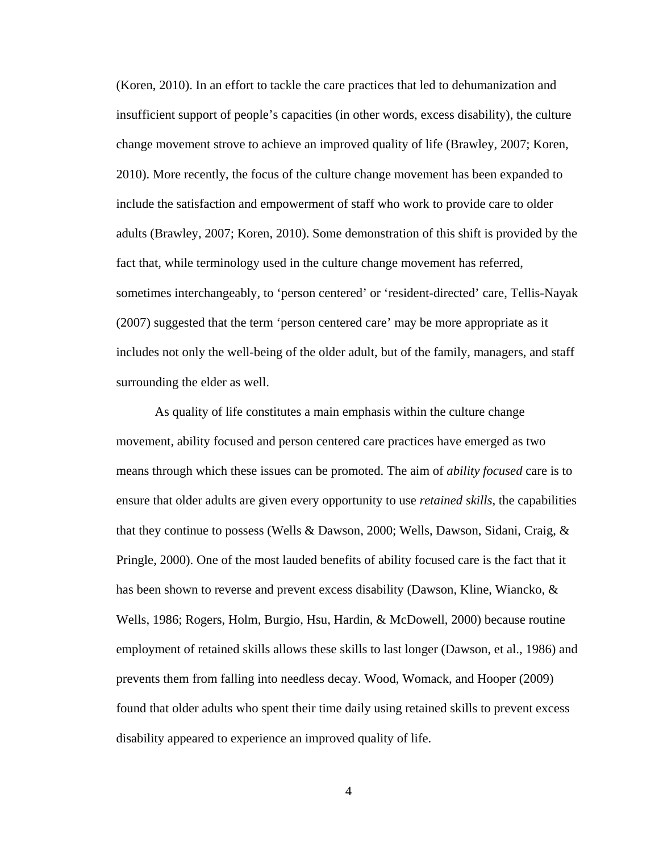(Koren, 2010). In an effort to tackle the care practices that led to dehumanization and insufficient support of people's capacities (in other words, excess disability), the culture change movement strove to achieve an improved quality of life (Brawley, 2007; Koren, 2010). More recently, the focus of the culture change movement has been expanded to include the satisfaction and empowerment of staff who work to provide care to older adults (Brawley, 2007; Koren, 2010). Some demonstration of this shift is provided by the fact that, while terminology used in the culture change movement has referred, sometimes interchangeably, to 'person centered' or 'resident-directed' care, Tellis-Nayak (2007) suggested that the term 'person centered care' may be more appropriate as it includes not only the well-being of the older adult, but of the family, managers, and staff surrounding the elder as well.

As quality of life constitutes a main emphasis within the culture change movement, ability focused and person centered care practices have emerged as two means through which these issues can be promoted. The aim of *ability focused* care is to ensure that older adults are given every opportunity to use *retained skills*, the capabilities that they continue to possess (Wells & Dawson, 2000; Wells, Dawson, Sidani, Craig, & Pringle, 2000). One of the most lauded benefits of ability focused care is the fact that it has been shown to reverse and prevent excess disability (Dawson, Kline, Wiancko, & Wells, 1986; Rogers, Holm, Burgio, Hsu, Hardin, & McDowell, 2000) because routine employment of retained skills allows these skills to last longer (Dawson, et al., 1986) and prevents them from falling into needless decay. Wood, Womack, and Hooper (2009) found that older adults who spent their time daily using retained skills to prevent excess disability appeared to experience an improved quality of life.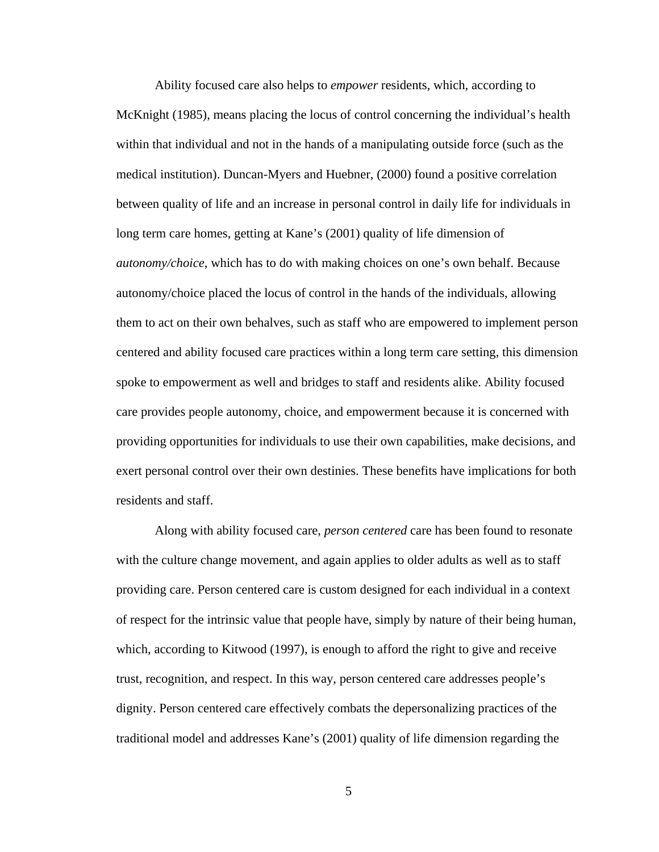Ability focused care also helps to *empower* residents, which, according to McKnight (1985), means placing the locus of control concerning the individual's health within that individual and not in the hands of a manipulating outside force (such as the medical institution). Duncan-Myers and Huebner, (2000) found a positive correlation between quality of life and an increase in personal control in daily life for individuals in long term care homes, getting at Kane's (2001) quality of life dimension of *autonomy/choice*, which has to do with making choices on one's own behalf. Because autonomy/choice placed the locus of control in the hands of the individuals, allowing them to act on their own behalves, such as staff who are empowered to implement person centered and ability focused care practices within a long term care setting, this dimension spoke to empowerment as well and bridges to staff and residents alike. Ability focused care provides people autonomy, choice, and empowerment because it is concerned with providing opportunities for individuals to use their own capabilities, make decisions, and exert personal control over their own destinies. These benefits have implications for both residents and staff.

Along with ability focused care, *person centered* care has been found to resonate with the culture change movement, and again applies to older adults as well as to staff providing care. Person centered care is custom designed for each individual in a context of respect for the intrinsic value that people have, simply by nature of their being human, which, according to Kitwood (1997), is enough to afford the right to give and receive trust, recognition, and respect. In this way, person centered care addresses people's dignity. Person centered care effectively combats the depersonalizing practices of the traditional model and addresses Kane's (2001) quality of life dimension regarding the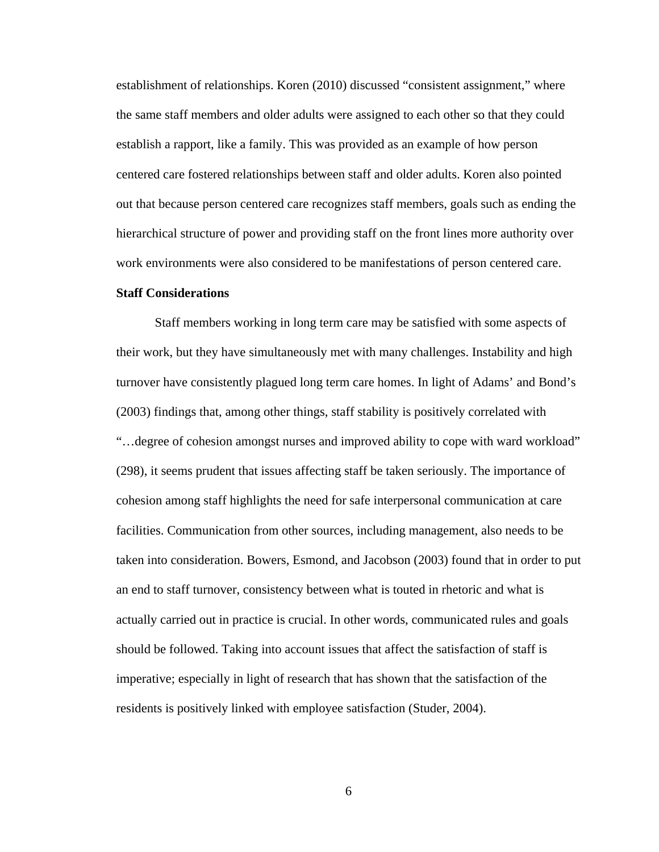establishment of relationships. Koren (2010) discussed "consistent assignment," where the same staff members and older adults were assigned to each other so that they could establish a rapport, like a family. This was provided as an example of how person centered care fostered relationships between staff and older adults. Koren also pointed out that because person centered care recognizes staff members, goals such as ending the hierarchical structure of power and providing staff on the front lines more authority over work environments were also considered to be manifestations of person centered care.

## **Staff Considerations**

Staff members working in long term care may be satisfied with some aspects of their work, but they have simultaneously met with many challenges. Instability and high turnover have consistently plagued long term care homes. In light of Adams' and Bond's (2003) findings that, among other things, staff stability is positively correlated with "…degree of cohesion amongst nurses and improved ability to cope with ward workload" (298), it seems prudent that issues affecting staff be taken seriously. The importance of cohesion among staff highlights the need for safe interpersonal communication at care facilities. Communication from other sources, including management, also needs to be taken into consideration. Bowers, Esmond, and Jacobson (2003) found that in order to put an end to staff turnover, consistency between what is touted in rhetoric and what is actually carried out in practice is crucial. In other words, communicated rules and goals should be followed. Taking into account issues that affect the satisfaction of staff is imperative; especially in light of research that has shown that the satisfaction of the residents is positively linked with employee satisfaction (Studer, 2004).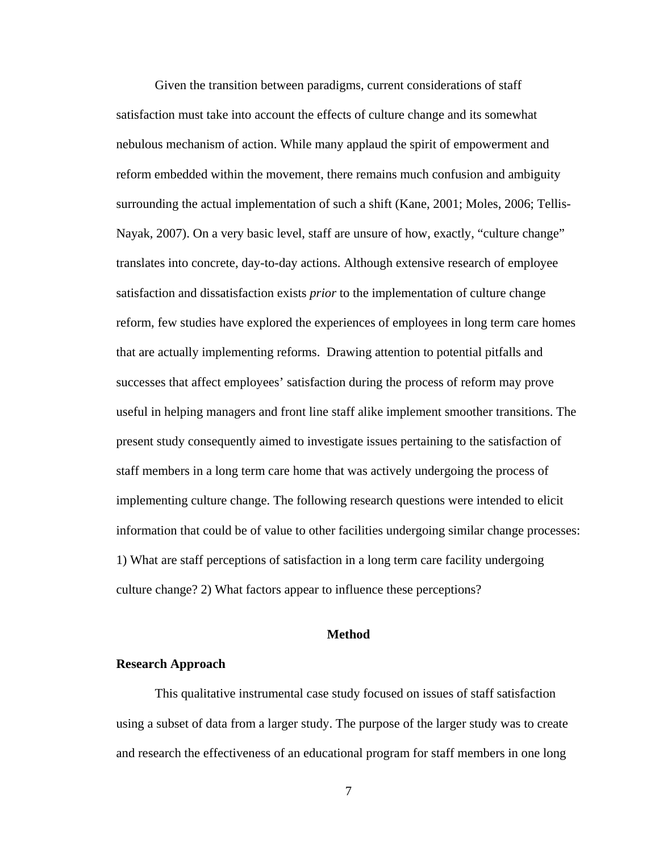Given the transition between paradigms, current considerations of staff satisfaction must take into account the effects of culture change and its somewhat nebulous mechanism of action. While many applaud the spirit of empowerment and reform embedded within the movement, there remains much confusion and ambiguity surrounding the actual implementation of such a shift (Kane, 2001; Moles, 2006; Tellis-Nayak, 2007). On a very basic level, staff are unsure of how, exactly, "culture change" translates into concrete, day-to-day actions. Although extensive research of employee satisfaction and dissatisfaction exists *prior* to the implementation of culture change reform, few studies have explored the experiences of employees in long term care homes that are actually implementing reforms. Drawing attention to potential pitfalls and successes that affect employees' satisfaction during the process of reform may prove useful in helping managers and front line staff alike implement smoother transitions. The present study consequently aimed to investigate issues pertaining to the satisfaction of staff members in a long term care home that was actively undergoing the process of implementing culture change. The following research questions were intended to elicit information that could be of value to other facilities undergoing similar change processes: 1) What are staff perceptions of satisfaction in a long term care facility undergoing culture change? 2) What factors appear to influence these perceptions?

## **Method**

#### **Research Approach**

This qualitative instrumental case study focused on issues of staff satisfaction using a subset of data from a larger study. The purpose of the larger study was to create and research the effectiveness of an educational program for staff members in one long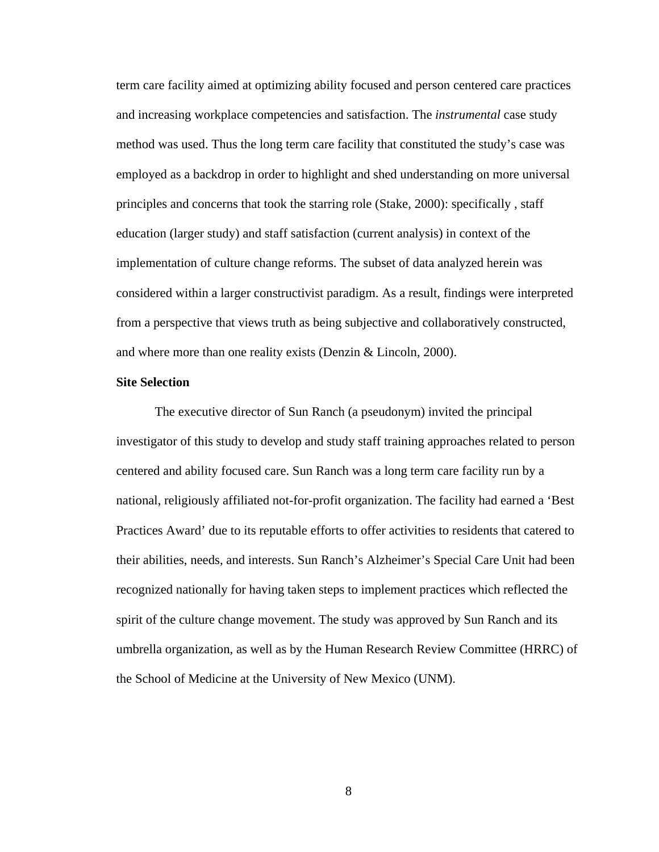term care facility aimed at optimizing ability focused and person centered care practices and increasing workplace competencies and satisfaction. The *instrumental* case study method was used. Thus the long term care facility that constituted the study's case was employed as a backdrop in order to highlight and shed understanding on more universal principles and concerns that took the starring role (Stake, 2000): specifically , staff education (larger study) and staff satisfaction (current analysis) in context of the implementation of culture change reforms. The subset of data analyzed herein was considered within a larger constructivist paradigm. As a result, findings were interpreted from a perspective that views truth as being subjective and collaboratively constructed, and where more than one reality exists (Denzin & Lincoln, 2000).

## **Site Selection**

The executive director of Sun Ranch (a pseudonym) invited the principal investigator of this study to develop and study staff training approaches related to person centered and ability focused care. Sun Ranch was a long term care facility run by a national, religiously affiliated not-for-profit organization. The facility had earned a 'Best Practices Award' due to its reputable efforts to offer activities to residents that catered to their abilities, needs, and interests. Sun Ranch's Alzheimer's Special Care Unit had been recognized nationally for having taken steps to implement practices which reflected the spirit of the culture change movement. The study was approved by Sun Ranch and its umbrella organization, as well as by the Human Research Review Committee (HRRC) of the School of Medicine at the University of New Mexico (UNM).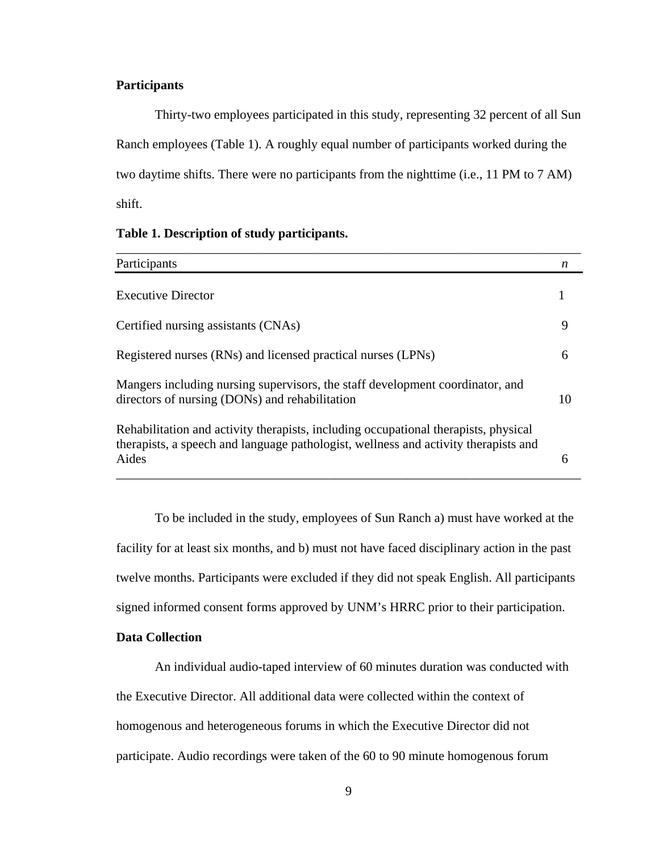## **Participants**

Thirty-two employees participated in this study, representing 32 percent of all Sun Ranch employees (Table 1). A roughly equal number of participants worked during the two daytime shifts. There were no participants from the nighttime (i.e., 11 PM to 7 AM) shift.

| Participants                                                                                                                                                                        | n  |
|-------------------------------------------------------------------------------------------------------------------------------------------------------------------------------------|----|
| <b>Executive Director</b>                                                                                                                                                           |    |
| Certified nursing assistants (CNAs)                                                                                                                                                 | 9  |
| Registered nurses (RNs) and licensed practical nurses (LPNs)                                                                                                                        | 6  |
| Mangers including nursing supervisors, the staff development coordinator, and<br>directors of nursing (DONs) and rehabilitation                                                     | 10 |
| Rehabilitation and activity therapists, including occupational therapists, physical<br>therapists, a speech and language pathologist, wellness and activity therapists and<br>Aides | 6  |

#### **Table 1. Description of study participants.**

To be included in the study, employees of Sun Ranch a) must have worked at the facility for at least six months, and b) must not have faced disciplinary action in the past twelve months. Participants were excluded if they did not speak English. All participants signed informed consent forms approved by UNM's HRRC prior to their participation.

## **Data Collection**

An individual audio-taped interview of 60 minutes duration was conducted with the Executive Director. All additional data were collected within the context of homogenous and heterogeneous forums in which the Executive Director did not participate. Audio recordings were taken of the 60 to 90 minute homogenous forum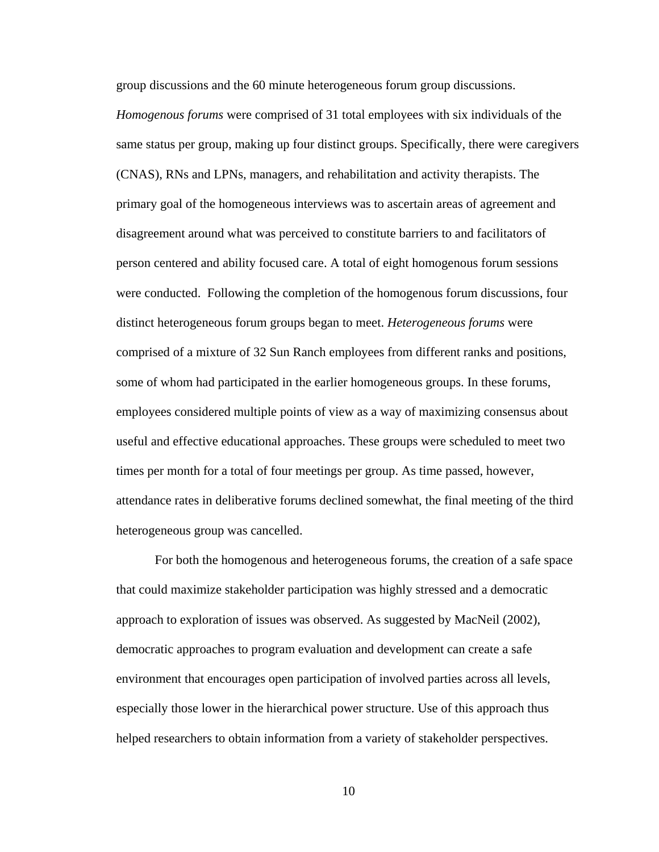group discussions and the 60 minute heterogeneous forum group discussions.

*Homogenous forums* were comprised of 31 total employees with six individuals of the same status per group, making up four distinct groups. Specifically, there were caregivers (CNAS), RNs and LPNs, managers, and rehabilitation and activity therapists. The primary goal of the homogeneous interviews was to ascertain areas of agreement and disagreement around what was perceived to constitute barriers to and facilitators of person centered and ability focused care. A total of eight homogenous forum sessions were conducted. Following the completion of the homogenous forum discussions, four distinct heterogeneous forum groups began to meet. *Heterogeneous forums* were comprised of a mixture of 32 Sun Ranch employees from different ranks and positions, some of whom had participated in the earlier homogeneous groups. In these forums, employees considered multiple points of view as a way of maximizing consensus about useful and effective educational approaches. These groups were scheduled to meet two times per month for a total of four meetings per group. As time passed, however, attendance rates in deliberative forums declined somewhat, the final meeting of the third heterogeneous group was cancelled.

For both the homogenous and heterogeneous forums, the creation of a safe space that could maximize stakeholder participation was highly stressed and a democratic approach to exploration of issues was observed. As suggested by MacNeil (2002), democratic approaches to program evaluation and development can create a safe environment that encourages open participation of involved parties across all levels, especially those lower in the hierarchical power structure. Use of this approach thus helped researchers to obtain information from a variety of stakeholder perspectives.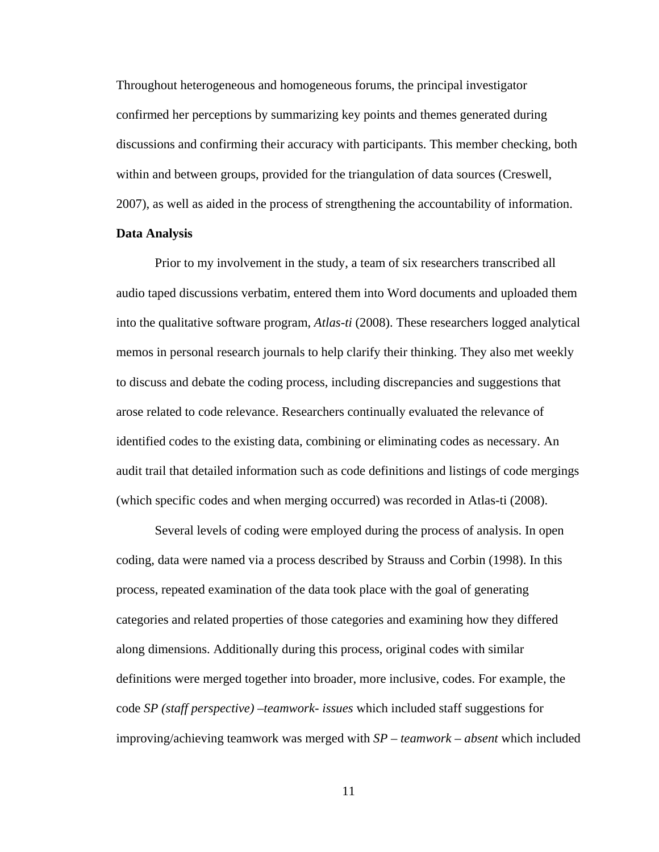Throughout heterogeneous and homogeneous forums, the principal investigator confirmed her perceptions by summarizing key points and themes generated during discussions and confirming their accuracy with participants. This member checking, both within and between groups, provided for the triangulation of data sources (Creswell, 2007), as well as aided in the process of strengthening the accountability of information.

## **Data Analysis**

Prior to my involvement in the study, a team of six researchers transcribed all audio taped discussions verbatim, entered them into Word documents and uploaded them into the qualitative software program, *Atlas-ti* (2008). These researchers logged analytical memos in personal research journals to help clarify their thinking. They also met weekly to discuss and debate the coding process, including discrepancies and suggestions that arose related to code relevance. Researchers continually evaluated the relevance of identified codes to the existing data, combining or eliminating codes as necessary. An audit trail that detailed information such as code definitions and listings of code mergings (which specific codes and when merging occurred) was recorded in Atlas-ti (2008).

Several levels of coding were employed during the process of analysis. In open coding, data were named via a process described by Strauss and Corbin (1998). In this process, repeated examination of the data took place with the goal of generating categories and related properties of those categories and examining how they differed along dimensions. Additionally during this process, original codes with similar definitions were merged together into broader, more inclusive, codes. For example, the code *SP (staff perspective) –teamwork- issues* which included staff suggestions for improving/achieving teamwork was merged with *SP – teamwork – absent* which included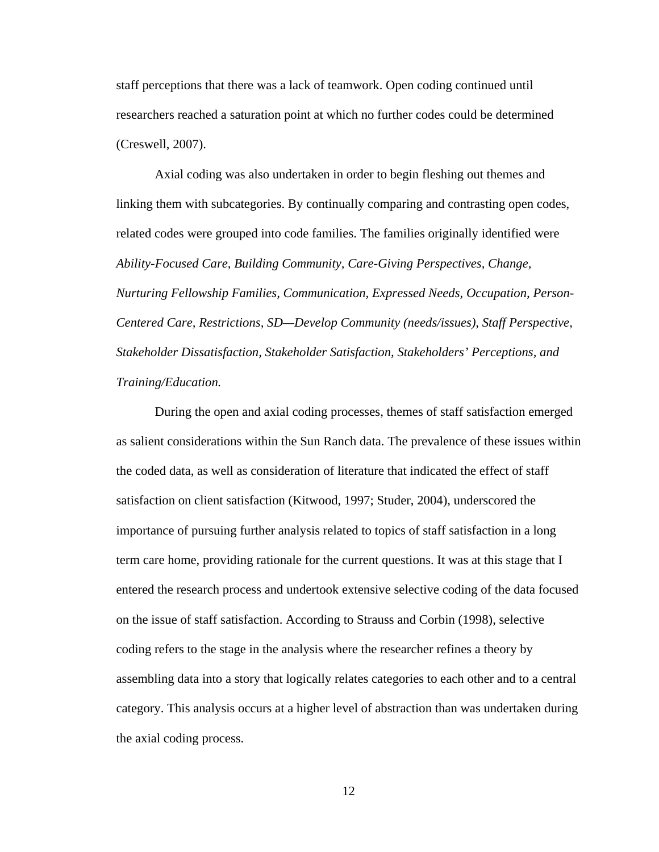staff perceptions that there was a lack of teamwork. Open coding continued until researchers reached a saturation point at which no further codes could be determined (Creswell, 2007).

Axial coding was also undertaken in order to begin fleshing out themes and linking them with subcategories. By continually comparing and contrasting open codes, related codes were grouped into code families. The families originally identified were *Ability-Focused Care, Building Community, Care-Giving Perspectives, Change, Nurturing Fellowship Families, Communication, Expressed Needs, Occupation, Person-Centered Care, Restrictions, SD—Develop Community (needs/issues), Staff Perspective, Stakeholder Dissatisfaction, Stakeholder Satisfaction, Stakeholders' Perceptions, and Training/Education.*

During the open and axial coding processes, themes of staff satisfaction emerged as salient considerations within the Sun Ranch data. The prevalence of these issues within the coded data, as well as consideration of literature that indicated the effect of staff satisfaction on client satisfaction (Kitwood, 1997; Studer, 2004), underscored the importance of pursuing further analysis related to topics of staff satisfaction in a long term care home, providing rationale for the current questions. It was at this stage that I entered the research process and undertook extensive selective coding of the data focused on the issue of staff satisfaction. According to Strauss and Corbin (1998), selective coding refers to the stage in the analysis where the researcher refines a theory by assembling data into a story that logically relates categories to each other and to a central category. This analysis occurs at a higher level of abstraction than was undertaken during the axial coding process.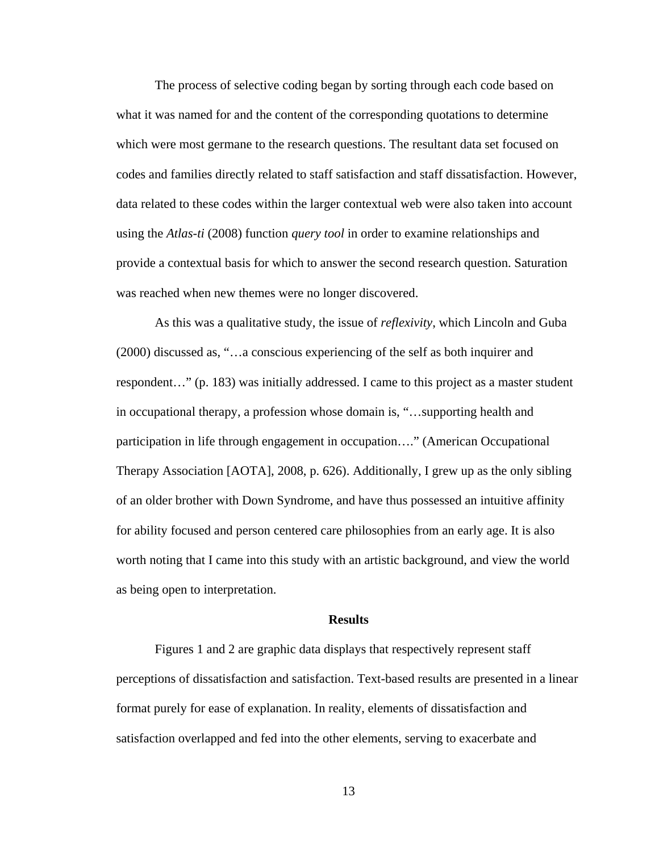The process of selective coding began by sorting through each code based on what it was named for and the content of the corresponding quotations to determine which were most germane to the research questions. The resultant data set focused on codes and families directly related to staff satisfaction and staff dissatisfaction. However, data related to these codes within the larger contextual web were also taken into account using the *Atlas-ti* (2008) function *query tool* in order to examine relationships and provide a contextual basis for which to answer the second research question. Saturation was reached when new themes were no longer discovered.

As this was a qualitative study, the issue of *reflexivity*, which Lincoln and Guba (2000) discussed as, "…a conscious experiencing of the self as both inquirer and respondent…" (p. 183) was initially addressed. I came to this project as a master student in occupational therapy, a profession whose domain is, "…supporting health and participation in life through engagement in occupation…." (American Occupational Therapy Association [AOTA], 2008, p. 626). Additionally, I grew up as the only sibling of an older brother with Down Syndrome, and have thus possessed an intuitive affinity for ability focused and person centered care philosophies from an early age. It is also worth noting that I came into this study with an artistic background, and view the world as being open to interpretation.

## **Results**

 Figures 1 and 2 are graphic data displays that respectively represent staff perceptions of dissatisfaction and satisfaction. Text-based results are presented in a linear format purely for ease of explanation. In reality, elements of dissatisfaction and satisfaction overlapped and fed into the other elements, serving to exacerbate and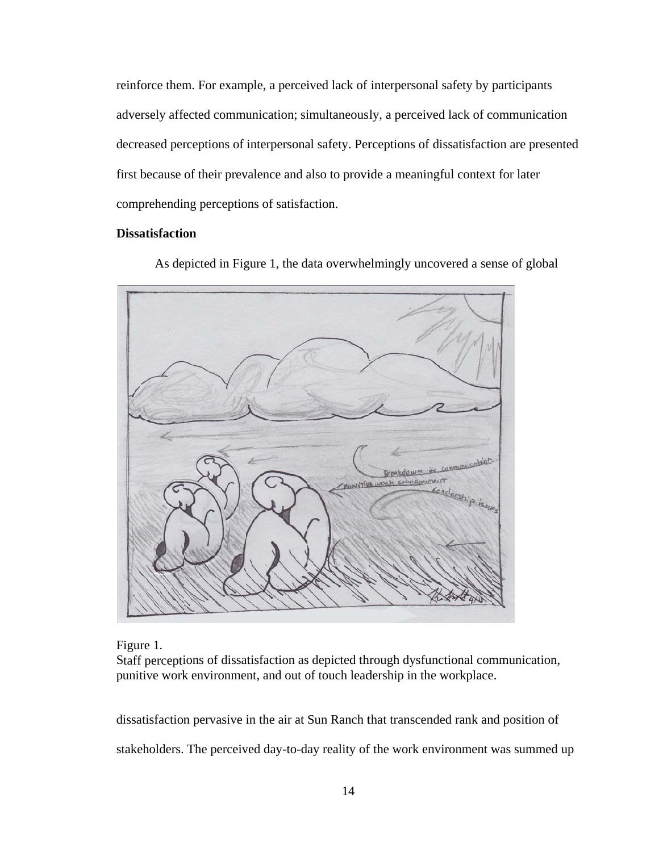reinforce them. For example, a perceived lack of interpersonal safety by participants adversely affected communication; simultaneously, a perceived lack of communication decreased perceptions of interpersonal safety. Perceptions of dissatisfaction are presented first because of their prevalence and also to provide a meaningful context for later comprehending perceptions of satisfaction.

## **D Dissatisfactio on**

As depicted in Figure 1, the data overwhelmingly uncovered a sense of global



F igure 1*.*

Staff perceptions of dissatisfaction as depicted through dysfunctional communication, punitive work environment, and out of touch leadership in the workplace.

dissatisfaction pervasive in the air at Sun Ranch that transcended rank and position of stakeholders. The perceived day-to-day reality of the work environment was summed up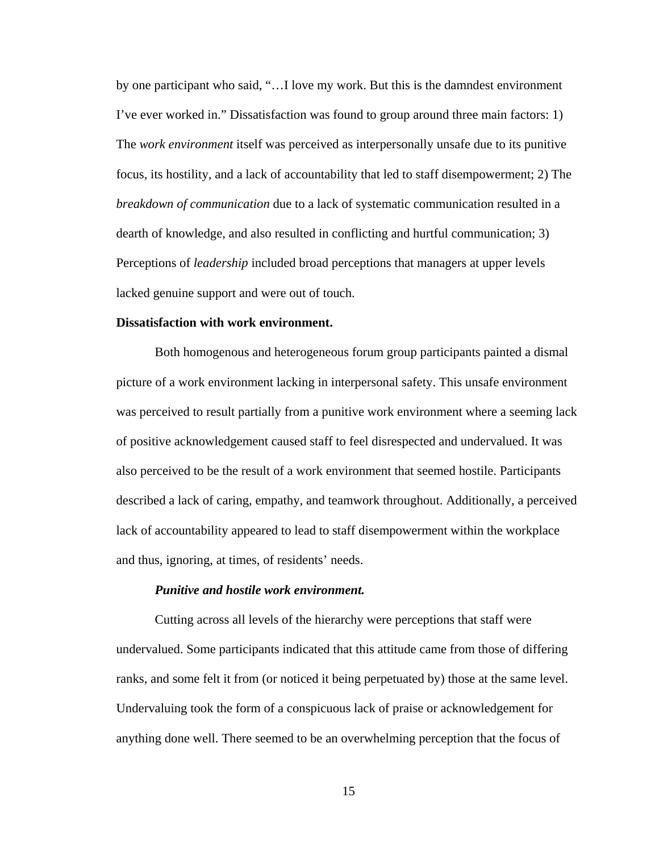by one participant who said, "…I love my work. But this is the damndest environment I've ever worked in." Dissatisfaction was found to group around three main factors: 1) The *work environment* itself was perceived as interpersonally unsafe due to its punitive focus, its hostility, and a lack of accountability that led to staff disempowerment; 2) The *breakdown of communication* due to a lack of systematic communication resulted in a dearth of knowledge, and also resulted in conflicting and hurtful communication; 3) Perceptions of *leadership* included broad perceptions that managers at upper levels lacked genuine support and were out of touch.

## **Dissatisfaction with work environment.**

 Both homogenous and heterogeneous forum group participants painted a dismal picture of a work environment lacking in interpersonal safety. This unsafe environment was perceived to result partially from a punitive work environment where a seeming lack of positive acknowledgement caused staff to feel disrespected and undervalued. It was also perceived to be the result of a work environment that seemed hostile. Participants described a lack of caring, empathy, and teamwork throughout. Additionally, a perceived lack of accountability appeared to lead to staff disempowerment within the workplace and thus, ignoring, at times, of residents' needs.

## *Punitive and hostile work environment.*

 Cutting across all levels of the hierarchy were perceptions that staff were undervalued. Some participants indicated that this attitude came from those of differing ranks, and some felt it from (or noticed it being perpetuated by) those at the same level. Undervaluing took the form of a conspicuous lack of praise or acknowledgement for anything done well. There seemed to be an overwhelming perception that the focus of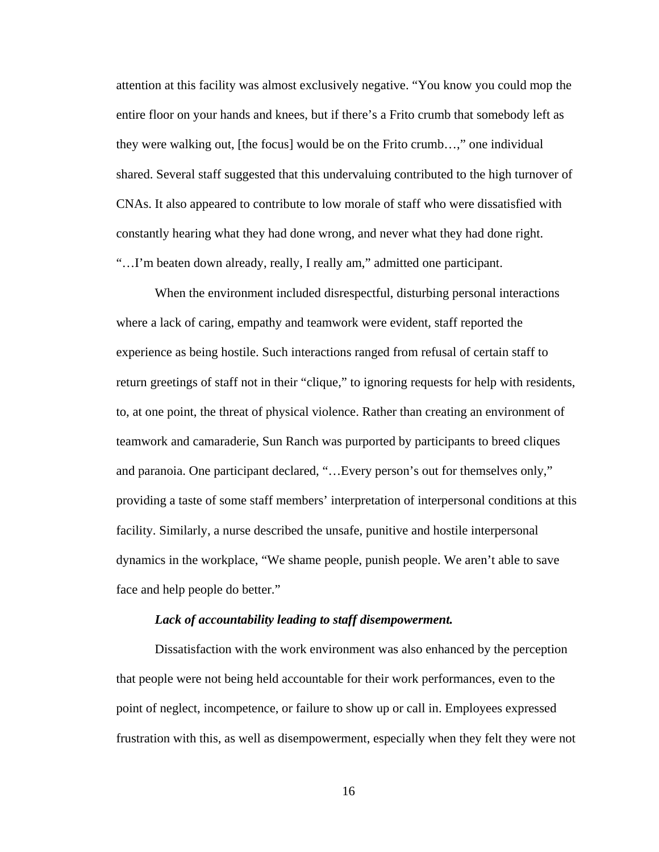attention at this facility was almost exclusively negative. "You know you could mop the entire floor on your hands and knees, but if there's a Frito crumb that somebody left as they were walking out, [the focus] would be on the Frito crumb…," one individual shared. Several staff suggested that this undervaluing contributed to the high turnover of CNAs. It also appeared to contribute to low morale of staff who were dissatisfied with constantly hearing what they had done wrong, and never what they had done right. "…I'm beaten down already, really, I really am," admitted one participant.

When the environment included disrespectful, disturbing personal interactions where a lack of caring, empathy and teamwork were evident, staff reported the experience as being hostile. Such interactions ranged from refusal of certain staff to return greetings of staff not in their "clique," to ignoring requests for help with residents, to, at one point, the threat of physical violence. Rather than creating an environment of teamwork and camaraderie, Sun Ranch was purported by participants to breed cliques and paranoia. One participant declared, "…Every person's out for themselves only," providing a taste of some staff members' interpretation of interpersonal conditions at this facility. Similarly, a nurse described the unsafe, punitive and hostile interpersonal dynamics in the workplace, "We shame people, punish people. We aren't able to save face and help people do better."

#### *Lack of accountability leading to staff disempowerment.*

Dissatisfaction with the work environment was also enhanced by the perception that people were not being held accountable for their work performances, even to the point of neglect, incompetence, or failure to show up or call in. Employees expressed frustration with this, as well as disempowerment, especially when they felt they were not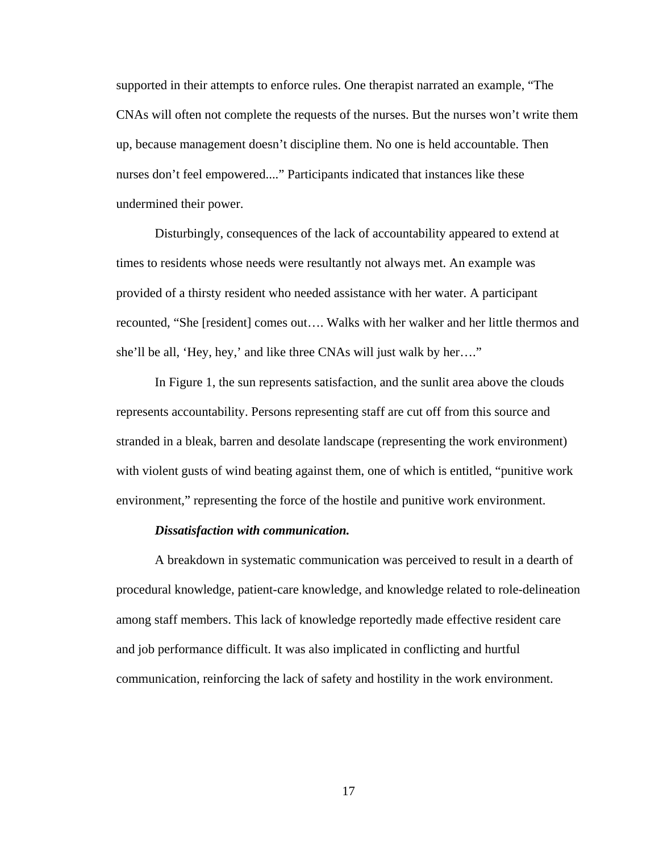supported in their attempts to enforce rules. One therapist narrated an example, "The CNAs will often not complete the requests of the nurses. But the nurses won't write them up, because management doesn't discipline them. No one is held accountable. Then nurses don't feel empowered...." Participants indicated that instances like these undermined their power.

Disturbingly, consequences of the lack of accountability appeared to extend at times to residents whose needs were resultantly not always met. An example was provided of a thirsty resident who needed assistance with her water. A participant recounted, "She [resident] comes out…. Walks with her walker and her little thermos and she'll be all, 'Hey, hey,' and like three CNAs will just walk by her…."

In Figure 1, the sun represents satisfaction, and the sunlit area above the clouds represents accountability. Persons representing staff are cut off from this source and stranded in a bleak, barren and desolate landscape (representing the work environment) with violent gusts of wind beating against them, one of which is entitled, "punitive work environment," representing the force of the hostile and punitive work environment.

#### *Dissatisfaction with communication.*

 A breakdown in systematic communication was perceived to result in a dearth of procedural knowledge, patient-care knowledge, and knowledge related to role-delineation among staff members. This lack of knowledge reportedly made effective resident care and job performance difficult. It was also implicated in conflicting and hurtful communication, reinforcing the lack of safety and hostility in the work environment.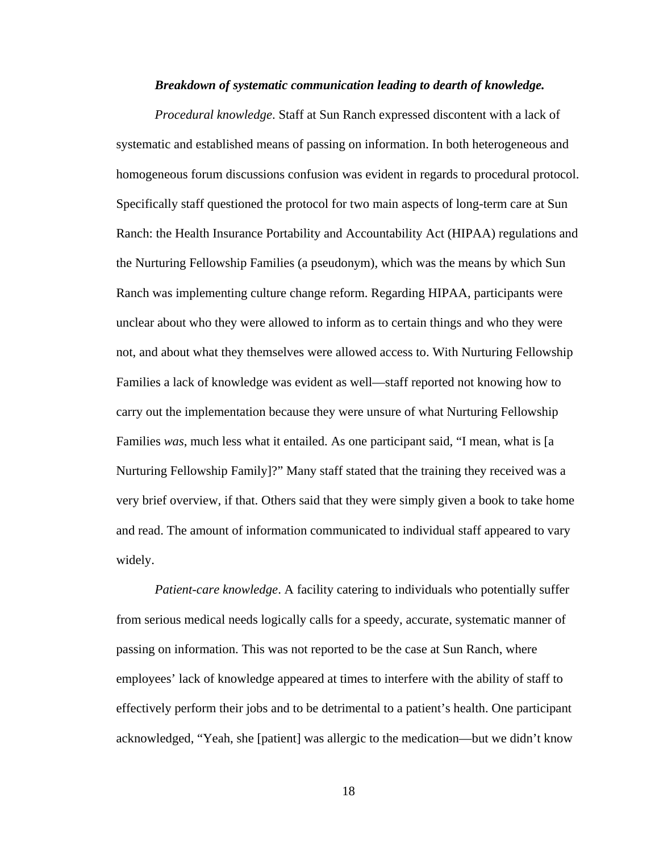#### *Breakdown of systematic communication leading to dearth of knowledge.*

*Procedural knowledge*. Staff at Sun Ranch expressed discontent with a lack of systematic and established means of passing on information. In both heterogeneous and homogeneous forum discussions confusion was evident in regards to procedural protocol. Specifically staff questioned the protocol for two main aspects of long-term care at Sun Ranch: the Health Insurance Portability and Accountability Act (HIPAA) regulations and the Nurturing Fellowship Families (a pseudonym), which was the means by which Sun Ranch was implementing culture change reform. Regarding HIPAA, participants were unclear about who they were allowed to inform as to certain things and who they were not, and about what they themselves were allowed access to. With Nurturing Fellowship Families a lack of knowledge was evident as well—staff reported not knowing how to carry out the implementation because they were unsure of what Nurturing Fellowship Families *was*, much less what it entailed. As one participant said, "I mean, what is [a Nurturing Fellowship Family]?" Many staff stated that the training they received was a very brief overview, if that. Others said that they were simply given a book to take home and read. The amount of information communicated to individual staff appeared to vary widely.

*Patient-care knowledge*. A facility catering to individuals who potentially suffer from serious medical needs logically calls for a speedy, accurate, systematic manner of passing on information. This was not reported to be the case at Sun Ranch, where employees' lack of knowledge appeared at times to interfere with the ability of staff to effectively perform their jobs and to be detrimental to a patient's health. One participant acknowledged, "Yeah, she [patient] was allergic to the medication—but we didn't know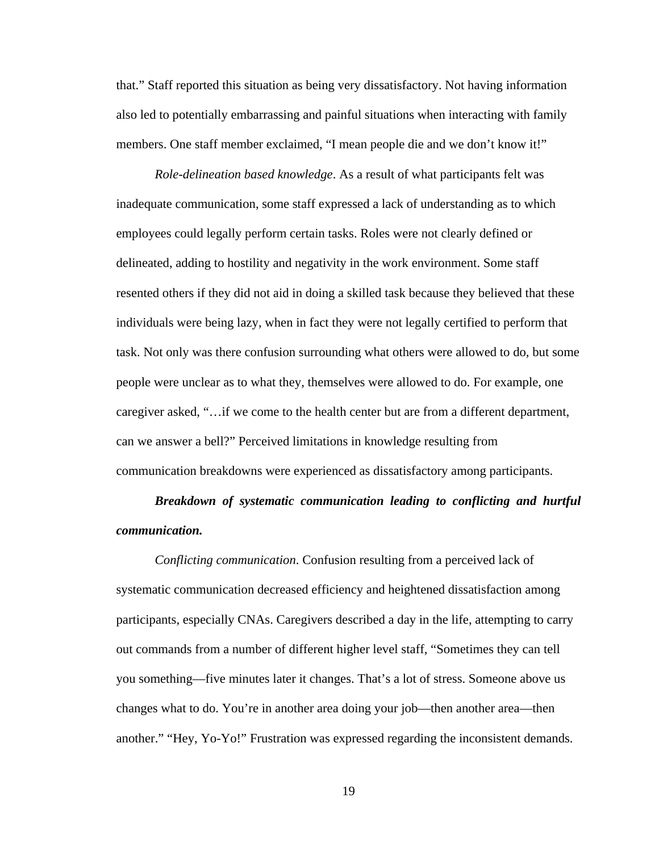that." Staff reported this situation as being very dissatisfactory. Not having information also led to potentially embarrassing and painful situations when interacting with family members. One staff member exclaimed, "I mean people die and we don't know it!"

*Role-delineation based knowledge*. As a result of what participants felt was inadequate communication, some staff expressed a lack of understanding as to which employees could legally perform certain tasks. Roles were not clearly defined or delineated, adding to hostility and negativity in the work environment. Some staff resented others if they did not aid in doing a skilled task because they believed that these individuals were being lazy, when in fact they were not legally certified to perform that task. Not only was there confusion surrounding what others were allowed to do, but some people were unclear as to what they, themselves were allowed to do. For example, one caregiver asked, "…if we come to the health center but are from a different department, can we answer a bell?" Perceived limitations in knowledge resulting from communication breakdowns were experienced as dissatisfactory among participants.

*Breakdown of systematic communication leading to conflicting and hurtful communication.* 

*Conflicting communication*. Confusion resulting from a perceived lack of systematic communication decreased efficiency and heightened dissatisfaction among participants, especially CNAs. Caregivers described a day in the life, attempting to carry out commands from a number of different higher level staff, "Sometimes they can tell you something—five minutes later it changes. That's a lot of stress. Someone above us changes what to do. You're in another area doing your job—then another area—then another." "Hey, Yo-Yo!" Frustration was expressed regarding the inconsistent demands.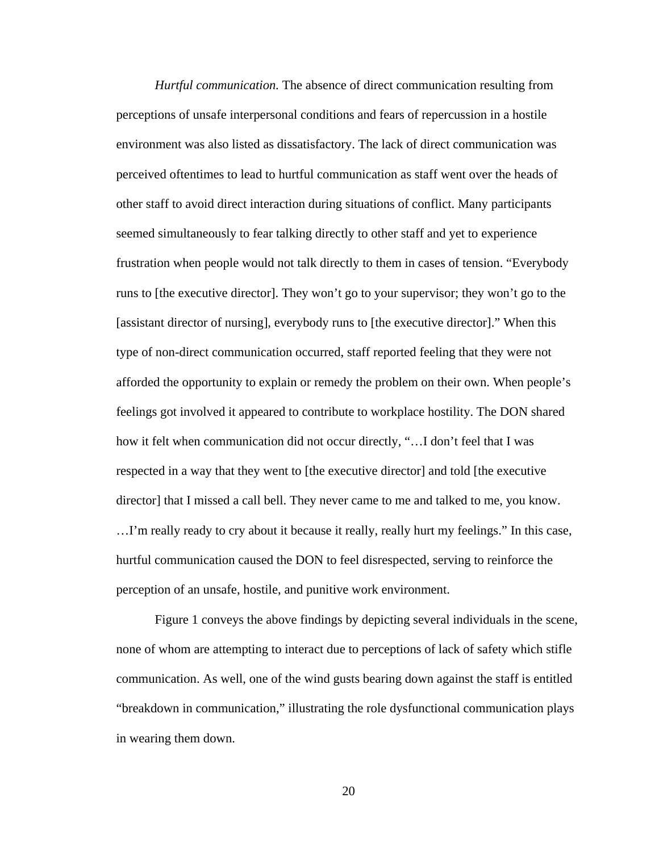*Hurtful communication.* The absence of direct communication resulting from perceptions of unsafe interpersonal conditions and fears of repercussion in a hostile environment was also listed as dissatisfactory. The lack of direct communication was perceived oftentimes to lead to hurtful communication as staff went over the heads of other staff to avoid direct interaction during situations of conflict. Many participants seemed simultaneously to fear talking directly to other staff and yet to experience frustration when people would not talk directly to them in cases of tension. "Everybody runs to [the executive director]. They won't go to your supervisor; they won't go to the [assistant director of nursing], everybody runs to [the executive director]." When this type of non-direct communication occurred, staff reported feeling that they were not afforded the opportunity to explain or remedy the problem on their own. When people's feelings got involved it appeared to contribute to workplace hostility. The DON shared how it felt when communication did not occur directly, "…I don't feel that I was respected in a way that they went to [the executive director] and told [the executive director] that I missed a call bell. They never came to me and talked to me, you know. …I'm really ready to cry about it because it really, really hurt my feelings." In this case, hurtful communication caused the DON to feel disrespected, serving to reinforce the perception of an unsafe, hostile, and punitive work environment.

 Figure 1 conveys the above findings by depicting several individuals in the scene, none of whom are attempting to interact due to perceptions of lack of safety which stifle communication. As well, one of the wind gusts bearing down against the staff is entitled "breakdown in communication," illustrating the role dysfunctional communication plays in wearing them down.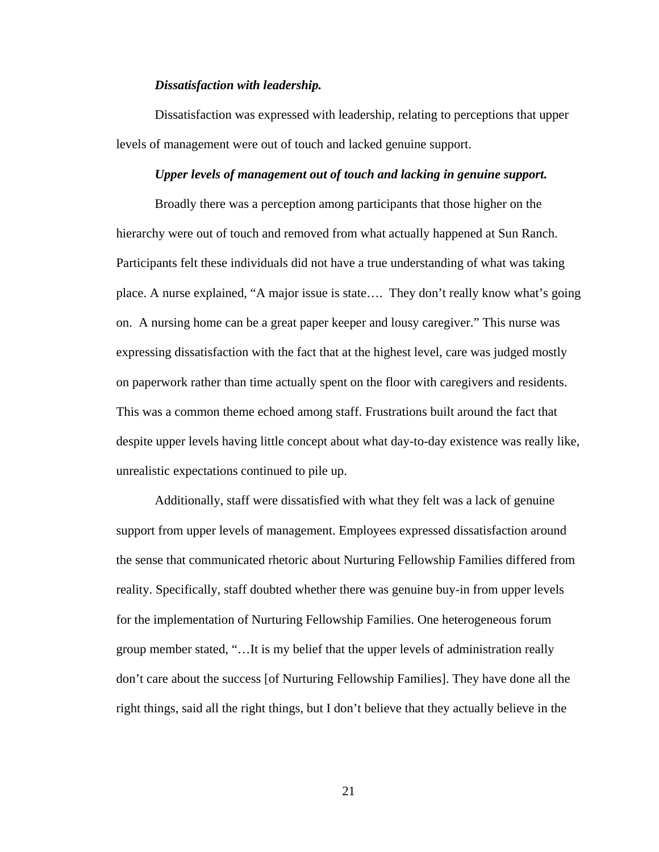#### *Dissatisfaction with leadership.*

Dissatisfaction was expressed with leadership, relating to perceptions that upper levels of management were out of touch and lacked genuine support.

## *Upper levels of management out of touch and lacking in genuine support.*

Broadly there was a perception among participants that those higher on the hierarchy were out of touch and removed from what actually happened at Sun Ranch. Participants felt these individuals did not have a true understanding of what was taking place. A nurse explained, "A major issue is state…. They don't really know what's going on. A nursing home can be a great paper keeper and lousy caregiver." This nurse was expressing dissatisfaction with the fact that at the highest level, care was judged mostly on paperwork rather than time actually spent on the floor with caregivers and residents. This was a common theme echoed among staff. Frustrations built around the fact that despite upper levels having little concept about what day-to-day existence was really like, unrealistic expectations continued to pile up.

Additionally, staff were dissatisfied with what they felt was a lack of genuine support from upper levels of management. Employees expressed dissatisfaction around the sense that communicated rhetoric about Nurturing Fellowship Families differed from reality. Specifically, staff doubted whether there was genuine buy-in from upper levels for the implementation of Nurturing Fellowship Families. One heterogeneous forum group member stated, "…It is my belief that the upper levels of administration really don't care about the success [of Nurturing Fellowship Families]. They have done all the right things, said all the right things, but I don't believe that they actually believe in the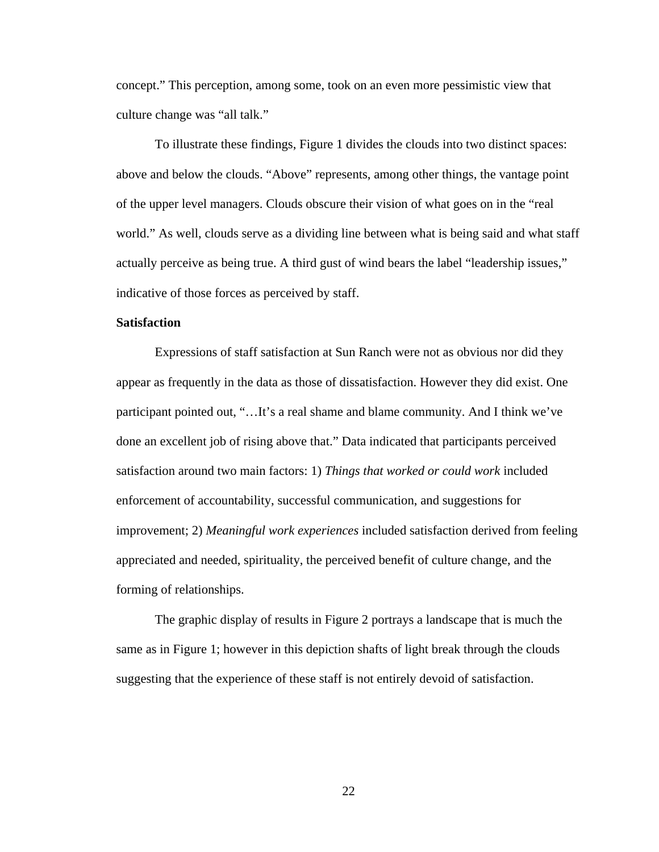concept." This perception, among some, took on an even more pessimistic view that culture change was "all talk."

To illustrate these findings, Figure 1 divides the clouds into two distinct spaces: above and below the clouds. "Above" represents, among other things, the vantage point of the upper level managers. Clouds obscure their vision of what goes on in the "real world." As well, clouds serve as a dividing line between what is being said and what staff actually perceive as being true. A third gust of wind bears the label "leadership issues," indicative of those forces as perceived by staff.

## **Satisfaction**

 Expressions of staff satisfaction at Sun Ranch were not as obvious nor did they appear as frequently in the data as those of dissatisfaction. However they did exist. One participant pointed out, "…It's a real shame and blame community. And I think we've done an excellent job of rising above that." Data indicated that participants perceived satisfaction around two main factors: 1) *Things that worked or could work* included enforcement of accountability, successful communication, and suggestions for improvement; 2) *Meaningful work experiences* included satisfaction derived from feeling appreciated and needed, spirituality, the perceived benefit of culture change, and the forming of relationships.

 The graphic display of results in Figure 2 portrays a landscape that is much the same as in Figure 1; however in this depiction shafts of light break through the clouds suggesting that the experience of these staff is not entirely devoid of satisfaction.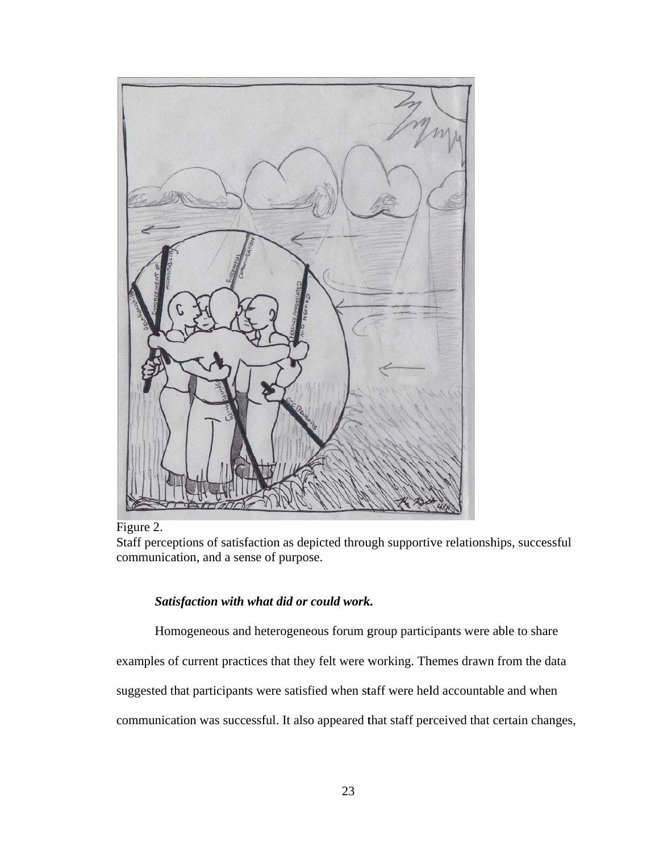

F igure 2.

Staff perceptions of satisfaction as depicted through supportive relationships, successful communication, and a sense of purpose.

## *Satisf faction with what did or r could work k.*

Homogeneous and heterogeneous forum group participants were able to share

Homogeneous and heterogeneous forum group participants were able to share<br>examples of current practices that they felt were working. Themes drawn from the data

suggested that participants were satisfied when staff were held accountable and when

communication was successful. It also appeared that staff perceived that certain changes,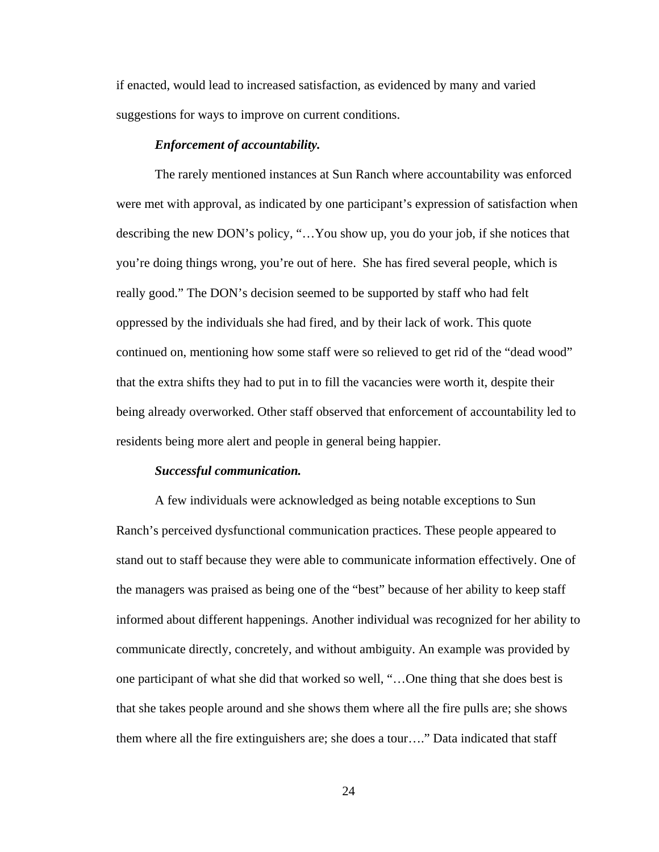if enacted, would lead to increased satisfaction, as evidenced by many and varied suggestions for ways to improve on current conditions.

#### *Enforcement of accountability.*

The rarely mentioned instances at Sun Ranch where accountability was enforced were met with approval, as indicated by one participant's expression of satisfaction when describing the new DON's policy, "…You show up, you do your job, if she notices that you're doing things wrong, you're out of here. She has fired several people, which is really good." The DON's decision seemed to be supported by staff who had felt oppressed by the individuals she had fired, and by their lack of work. This quote continued on, mentioning how some staff were so relieved to get rid of the "dead wood" that the extra shifts they had to put in to fill the vacancies were worth it, despite their being already overworked. Other staff observed that enforcement of accountability led to residents being more alert and people in general being happier.

#### *Successful communication.*

A few individuals were acknowledged as being notable exceptions to Sun Ranch's perceived dysfunctional communication practices. These people appeared to stand out to staff because they were able to communicate information effectively. One of the managers was praised as being one of the "best" because of her ability to keep staff informed about different happenings. Another individual was recognized for her ability to communicate directly, concretely, and without ambiguity. An example was provided by one participant of what she did that worked so well, "…One thing that she does best is that she takes people around and she shows them where all the fire pulls are; she shows them where all the fire extinguishers are; she does a tour…." Data indicated that staff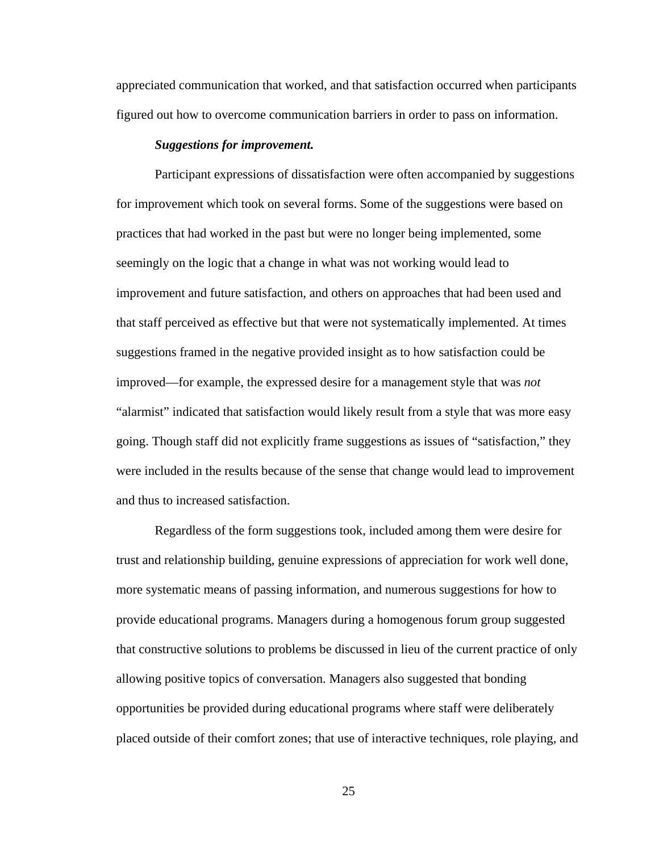appreciated communication that worked, and that satisfaction occurred when participants figured out how to overcome communication barriers in order to pass on information.

#### *Suggestions for improvement.*

Participant expressions of dissatisfaction were often accompanied by suggestions for improvement which took on several forms. Some of the suggestions were based on practices that had worked in the past but were no longer being implemented, some seemingly on the logic that a change in what was not working would lead to improvement and future satisfaction, and others on approaches that had been used and that staff perceived as effective but that were not systematically implemented. At times suggestions framed in the negative provided insight as to how satisfaction could be improved—for example, the expressed desire for a management style that was *not* "alarmist" indicated that satisfaction would likely result from a style that was more easy going. Though staff did not explicitly frame suggestions as issues of "satisfaction," they were included in the results because of the sense that change would lead to improvement and thus to increased satisfaction.

Regardless of the form suggestions took, included among them were desire for trust and relationship building, genuine expressions of appreciation for work well done, more systematic means of passing information, and numerous suggestions for how to provide educational programs. Managers during a homogenous forum group suggested that constructive solutions to problems be discussed in lieu of the current practice of only allowing positive topics of conversation. Managers also suggested that bonding opportunities be provided during educational programs where staff were deliberately placed outside of their comfort zones; that use of interactive techniques, role playing, and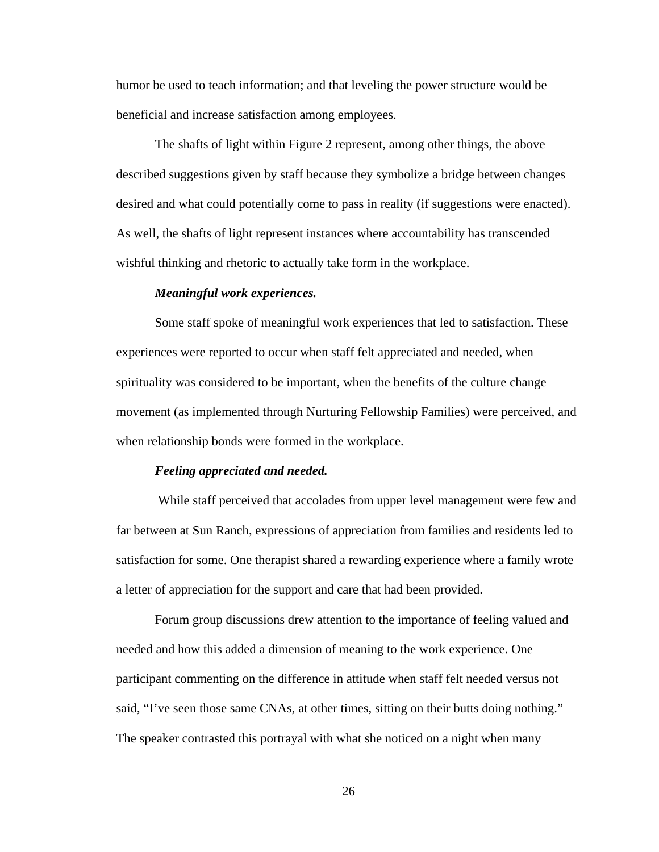humor be used to teach information; and that leveling the power structure would be beneficial and increase satisfaction among employees.

The shafts of light within Figure 2 represent, among other things, the above described suggestions given by staff because they symbolize a bridge between changes desired and what could potentially come to pass in reality (if suggestions were enacted). As well, the shafts of light represent instances where accountability has transcended wishful thinking and rhetoric to actually take form in the workplace.

#### *Meaningful work experiences.*

 Some staff spoke of meaningful work experiences that led to satisfaction. These experiences were reported to occur when staff felt appreciated and needed, when spirituality was considered to be important, when the benefits of the culture change movement (as implemented through Nurturing Fellowship Families) were perceived, and when relationship bonds were formed in the workplace.

#### *Feeling appreciated and needed.*

 While staff perceived that accolades from upper level management were few and far between at Sun Ranch, expressions of appreciation from families and residents led to satisfaction for some. One therapist shared a rewarding experience where a family wrote a letter of appreciation for the support and care that had been provided.

Forum group discussions drew attention to the importance of feeling valued and needed and how this added a dimension of meaning to the work experience. One participant commenting on the difference in attitude when staff felt needed versus not said, "I've seen those same CNAs, at other times, sitting on their butts doing nothing." The speaker contrasted this portrayal with what she noticed on a night when many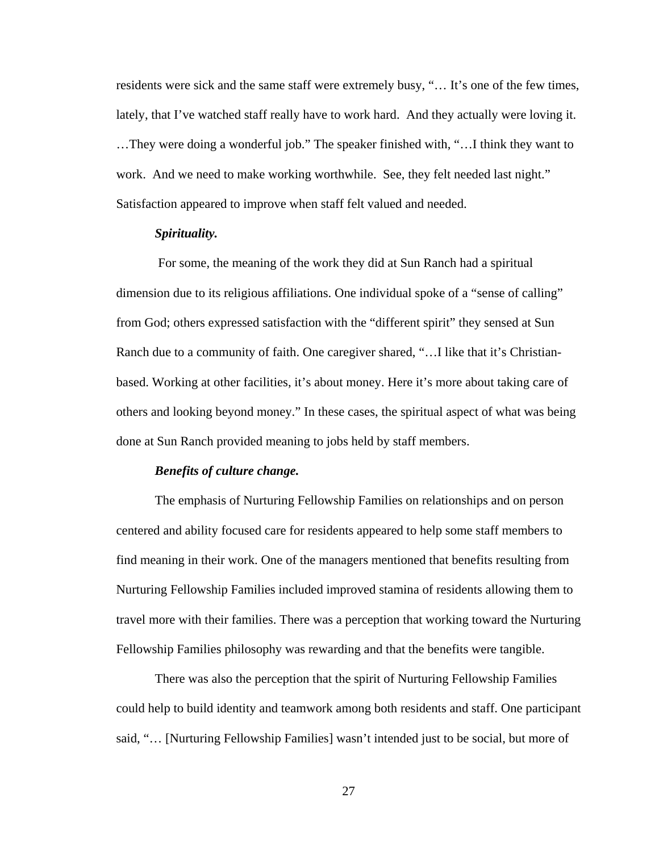residents were sick and the same staff were extremely busy, "… It's one of the few times, lately, that I've watched staff really have to work hard. And they actually were loving it. …They were doing a wonderful job." The speaker finished with, "…I think they want to work. And we need to make working worthwhile. See, they felt needed last night." Satisfaction appeared to improve when staff felt valued and needed.

## *Spirituality.*

 For some, the meaning of the work they did at Sun Ranch had a spiritual dimension due to its religious affiliations. One individual spoke of a "sense of calling" from God; others expressed satisfaction with the "different spirit" they sensed at Sun Ranch due to a community of faith. One caregiver shared, "…I like that it's Christianbased. Working at other facilities, it's about money. Here it's more about taking care of others and looking beyond money." In these cases, the spiritual aspect of what was being done at Sun Ranch provided meaning to jobs held by staff members.

#### *Benefits of culture change.*

The emphasis of Nurturing Fellowship Families on relationships and on person centered and ability focused care for residents appeared to help some staff members to find meaning in their work. One of the managers mentioned that benefits resulting from Nurturing Fellowship Families included improved stamina of residents allowing them to travel more with their families. There was a perception that working toward the Nurturing Fellowship Families philosophy was rewarding and that the benefits were tangible.

There was also the perception that the spirit of Nurturing Fellowship Families could help to build identity and teamwork among both residents and staff. One participant said, "… [Nurturing Fellowship Families] wasn't intended just to be social, but more of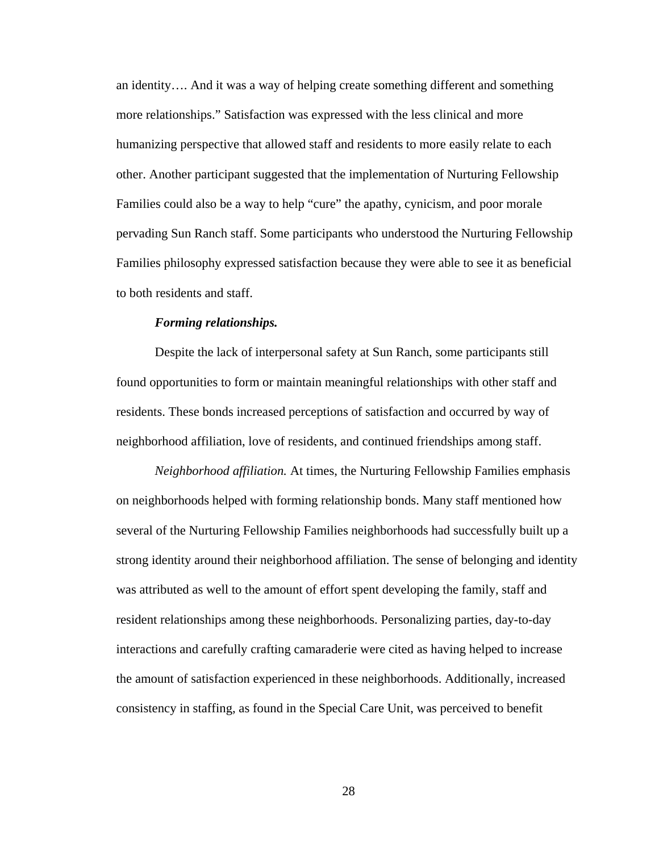an identity…. And it was a way of helping create something different and something more relationships." Satisfaction was expressed with the less clinical and more humanizing perspective that allowed staff and residents to more easily relate to each other. Another participant suggested that the implementation of Nurturing Fellowship Families could also be a way to help "cure" the apathy, cynicism, and poor morale pervading Sun Ranch staff. Some participants who understood the Nurturing Fellowship Families philosophy expressed satisfaction because they were able to see it as beneficial to both residents and staff.

#### *Forming relationships.*

Despite the lack of interpersonal safety at Sun Ranch, some participants still found opportunities to form or maintain meaningful relationships with other staff and residents. These bonds increased perceptions of satisfaction and occurred by way of neighborhood affiliation, love of residents, and continued friendships among staff.

*Neighborhood affiliation.* At times, the Nurturing Fellowship Families emphasis on neighborhoods helped with forming relationship bonds. Many staff mentioned how several of the Nurturing Fellowship Families neighborhoods had successfully built up a strong identity around their neighborhood affiliation. The sense of belonging and identity was attributed as well to the amount of effort spent developing the family, staff and resident relationships among these neighborhoods. Personalizing parties, day-to-day interactions and carefully crafting camaraderie were cited as having helped to increase the amount of satisfaction experienced in these neighborhoods. Additionally, increased consistency in staffing, as found in the Special Care Unit, was perceived to benefit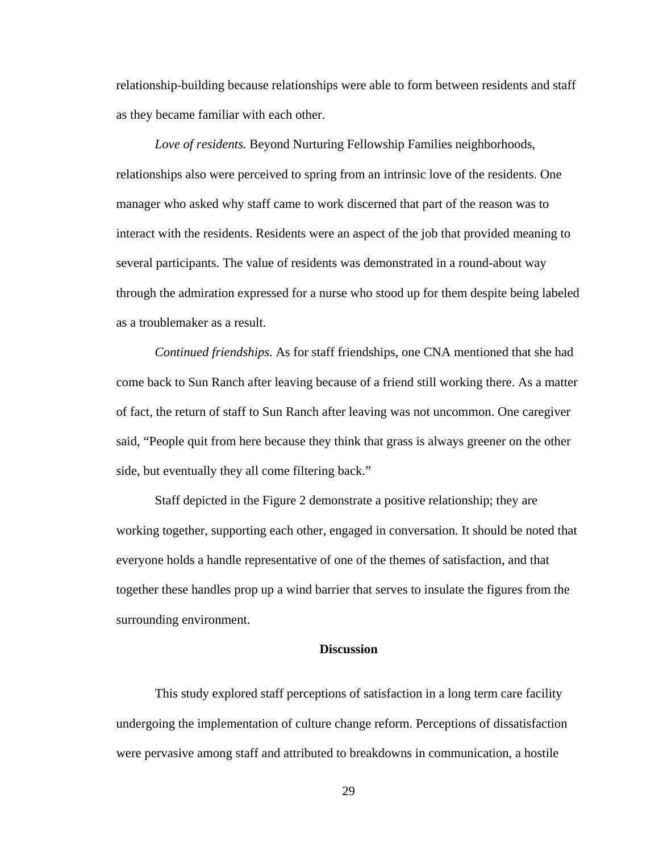relationship-building because relationships were able to form between residents and staff as they became familiar with each other.

*Love of residents.* Beyond Nurturing Fellowship Families neighborhoods, relationships also were perceived to spring from an intrinsic love of the residents. One manager who asked why staff came to work discerned that part of the reason was to interact with the residents. Residents were an aspect of the job that provided meaning to several participants. The value of residents was demonstrated in a round-about way through the admiration expressed for a nurse who stood up for them despite being labeled as a troublemaker as a result.

*Continued friendships.* As for staff friendships, one CNA mentioned that she had come back to Sun Ranch after leaving because of a friend still working there. As a matter of fact, the return of staff to Sun Ranch after leaving was not uncommon. One caregiver said, "People quit from here because they think that grass is always greener on the other side, but eventually they all come filtering back."

Staff depicted in the Figure 2 demonstrate a positive relationship; they are working together, supporting each other, engaged in conversation. It should be noted that everyone holds a handle representative of one of the themes of satisfaction, and that together these handles prop up a wind barrier that serves to insulate the figures from the surrounding environment.

## **Discussion**

This study explored staff perceptions of satisfaction in a long term care facility undergoing the implementation of culture change reform. Perceptions of dissatisfaction were pervasive among staff and attributed to breakdowns in communication, a hostile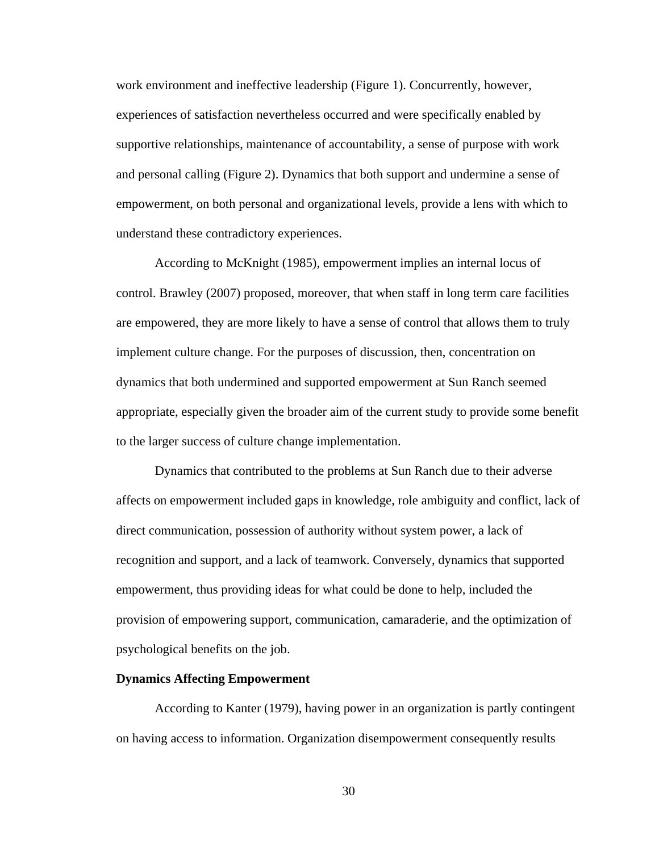work environment and ineffective leadership (Figure 1). Concurrently, however, experiences of satisfaction nevertheless occurred and were specifically enabled by supportive relationships, maintenance of accountability, a sense of purpose with work and personal calling (Figure 2). Dynamics that both support and undermine a sense of empowerment, on both personal and organizational levels, provide a lens with which to understand these contradictory experiences.

According to McKnight (1985), empowerment implies an internal locus of control. Brawley (2007) proposed, moreover, that when staff in long term care facilities are empowered, they are more likely to have a sense of control that allows them to truly implement culture change. For the purposes of discussion, then, concentration on dynamics that both undermined and supported empowerment at Sun Ranch seemed appropriate, especially given the broader aim of the current study to provide some benefit to the larger success of culture change implementation.

Dynamics that contributed to the problems at Sun Ranch due to their adverse affects on empowerment included gaps in knowledge, role ambiguity and conflict, lack of direct communication, possession of authority without system power, a lack of recognition and support, and a lack of teamwork. Conversely, dynamics that supported empowerment, thus providing ideas for what could be done to help, included the provision of empowering support, communication, camaraderie, and the optimization of psychological benefits on the job.

#### **Dynamics Affecting Empowerment**

 According to Kanter (1979), having power in an organization is partly contingent on having access to information. Organization disempowerment consequently results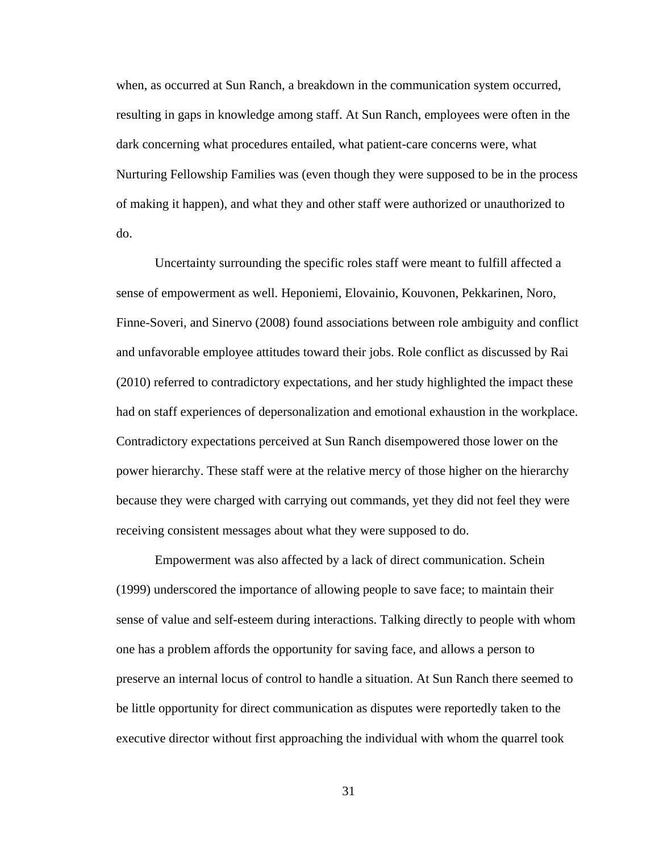when, as occurred at Sun Ranch, a breakdown in the communication system occurred, resulting in gaps in knowledge among staff. At Sun Ranch, employees were often in the dark concerning what procedures entailed, what patient-care concerns were, what Nurturing Fellowship Families was (even though they were supposed to be in the process of making it happen), and what they and other staff were authorized or unauthorized to do.

 Uncertainty surrounding the specific roles staff were meant to fulfill affected a sense of empowerment as well. Heponiemi, Elovainio, Kouvonen, Pekkarinen, Noro, Finne-Soveri, and Sinervo (2008) found associations between role ambiguity and conflict and unfavorable employee attitudes toward their jobs. Role conflict as discussed by Rai (2010) referred to contradictory expectations, and her study highlighted the impact these had on staff experiences of depersonalization and emotional exhaustion in the workplace. Contradictory expectations perceived at Sun Ranch disempowered those lower on the power hierarchy. These staff were at the relative mercy of those higher on the hierarchy because they were charged with carrying out commands, yet they did not feel they were receiving consistent messages about what they were supposed to do.

 Empowerment was also affected by a lack of direct communication. Schein (1999) underscored the importance of allowing people to save face; to maintain their sense of value and self-esteem during interactions. Talking directly to people with whom one has a problem affords the opportunity for saving face, and allows a person to preserve an internal locus of control to handle a situation. At Sun Ranch there seemed to be little opportunity for direct communication as disputes were reportedly taken to the executive director without first approaching the individual with whom the quarrel took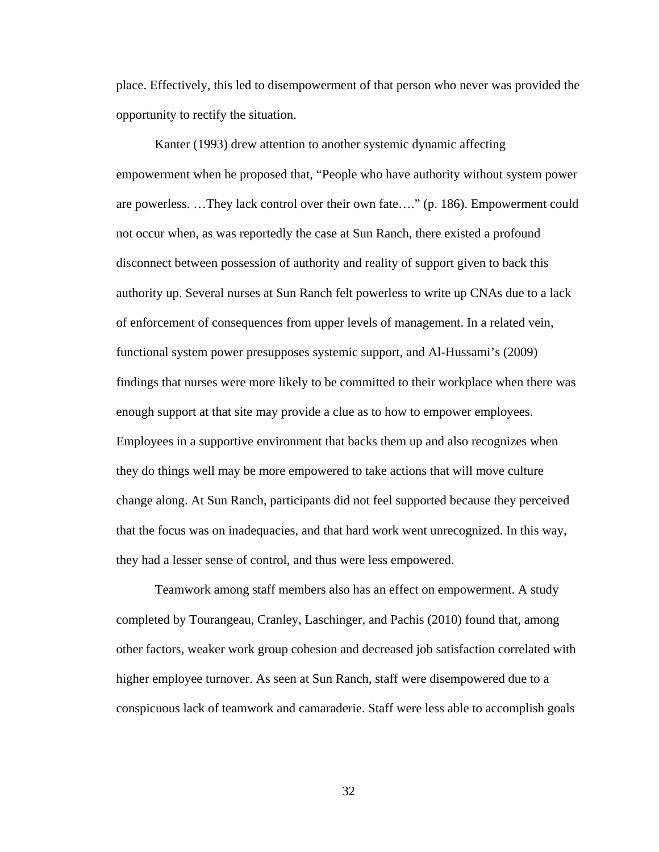place. Effectively, this led to disempowerment of that person who never was provided the opportunity to rectify the situation.

 Kanter (1993) drew attention to another systemic dynamic affecting empowerment when he proposed that, "People who have authority without system power are powerless. …They lack control over their own fate…." (p. 186). Empowerment could not occur when, as was reportedly the case at Sun Ranch, there existed a profound disconnect between possession of authority and reality of support given to back this authority up. Several nurses at Sun Ranch felt powerless to write up CNAs due to a lack of enforcement of consequences from upper levels of management. In a related vein, functional system power presupposes systemic support, and Al-Hussami's (2009) findings that nurses were more likely to be committed to their workplace when there was enough support at that site may provide a clue as to how to empower employees. Employees in a supportive environment that backs them up and also recognizes when they do things well may be more empowered to take actions that will move culture change along. At Sun Ranch, participants did not feel supported because they perceived that the focus was on inadequacies, and that hard work went unrecognized. In this way, they had a lesser sense of control, and thus were less empowered.

 Teamwork among staff members also has an effect on empowerment. A study completed by Tourangeau, Cranley, Laschinger, and Pachis (2010) found that, among other factors, weaker work group cohesion and decreased job satisfaction correlated with higher employee turnover. As seen at Sun Ranch, staff were disempowered due to a conspicuous lack of teamwork and camaraderie. Staff were less able to accomplish goals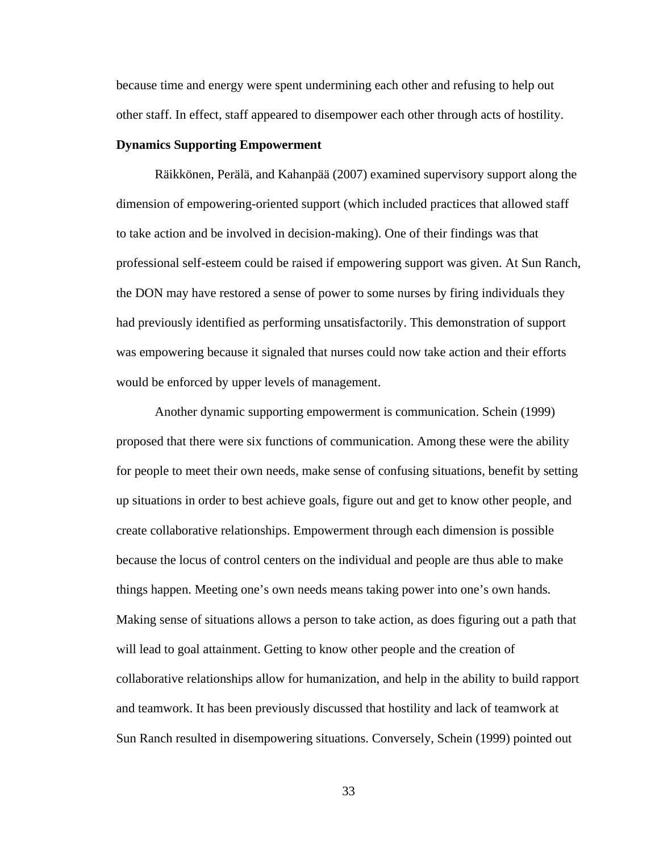because time and energy were spent undermining each other and refusing to help out other staff. In effect, staff appeared to disempower each other through acts of hostility.

#### **Dynamics Supporting Empowerment**

 Räikkönen, Perälä, and Kahanpää (2007) examined supervisory support along the dimension of empowering-oriented support (which included practices that allowed staff to take action and be involved in decision-making). One of their findings was that professional self-esteem could be raised if empowering support was given. At Sun Ranch, the DON may have restored a sense of power to some nurses by firing individuals they had previously identified as performing unsatisfactorily. This demonstration of support was empowering because it signaled that nurses could now take action and their efforts would be enforced by upper levels of management.

 Another dynamic supporting empowerment is communication. Schein (1999) proposed that there were six functions of communication. Among these were the ability for people to meet their own needs, make sense of confusing situations, benefit by setting up situations in order to best achieve goals, figure out and get to know other people, and create collaborative relationships. Empowerment through each dimension is possible because the locus of control centers on the individual and people are thus able to make things happen. Meeting one's own needs means taking power into one's own hands. Making sense of situations allows a person to take action, as does figuring out a path that will lead to goal attainment. Getting to know other people and the creation of collaborative relationships allow for humanization, and help in the ability to build rapport and teamwork. It has been previously discussed that hostility and lack of teamwork at Sun Ranch resulted in disempowering situations. Conversely, Schein (1999) pointed out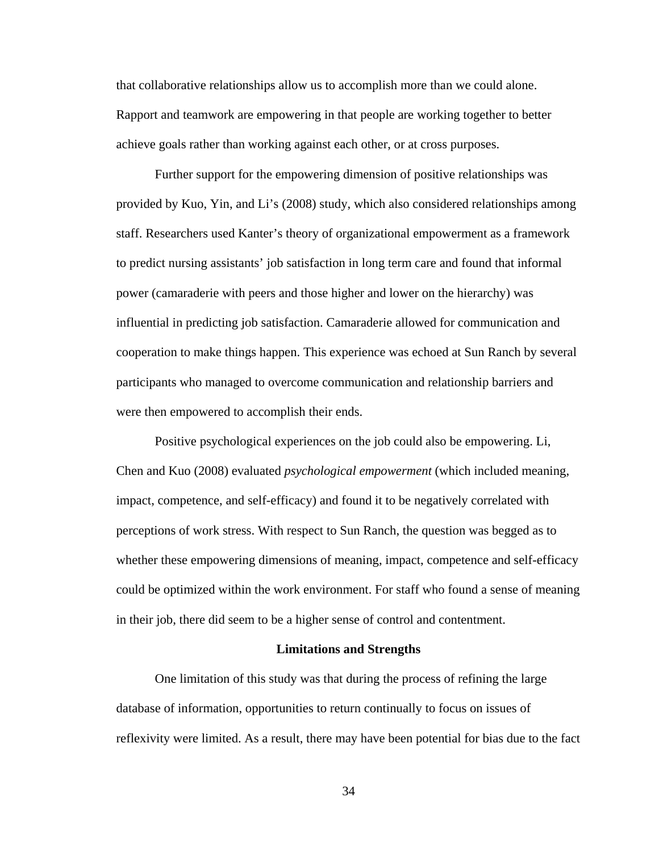that collaborative relationships allow us to accomplish more than we could alone. Rapport and teamwork are empowering in that people are working together to better achieve goals rather than working against each other, or at cross purposes.

 Further support for the empowering dimension of positive relationships was provided by Kuo, Yin, and Li's (2008) study, which also considered relationships among staff. Researchers used Kanter's theory of organizational empowerment as a framework to predict nursing assistants' job satisfaction in long term care and found that informal power (camaraderie with peers and those higher and lower on the hierarchy) was influential in predicting job satisfaction. Camaraderie allowed for communication and cooperation to make things happen. This experience was echoed at Sun Ranch by several participants who managed to overcome communication and relationship barriers and were then empowered to accomplish their ends.

 Positive psychological experiences on the job could also be empowering. Li, Chen and Kuo (2008) evaluated *psychological empowerment* (which included meaning, impact, competence, and self-efficacy) and found it to be negatively correlated with perceptions of work stress. With respect to Sun Ranch, the question was begged as to whether these empowering dimensions of meaning, impact, competence and self-efficacy could be optimized within the work environment. For staff who found a sense of meaning in their job, there did seem to be a higher sense of control and contentment.

#### **Limitations and Strengths**

One limitation of this study was that during the process of refining the large database of information, opportunities to return continually to focus on issues of reflexivity were limited. As a result, there may have been potential for bias due to the fact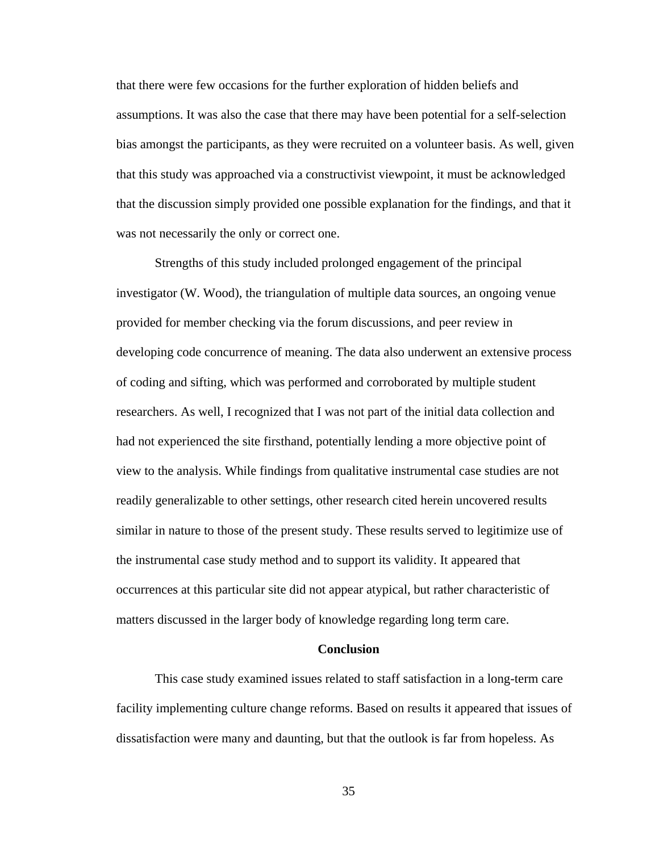that there were few occasions for the further exploration of hidden beliefs and assumptions. It was also the case that there may have been potential for a self-selection bias amongst the participants, as they were recruited on a volunteer basis. As well, given that this study was approached via a constructivist viewpoint, it must be acknowledged that the discussion simply provided one possible explanation for the findings, and that it was not necessarily the only or correct one.

Strengths of this study included prolonged engagement of the principal investigator (W. Wood), the triangulation of multiple data sources, an ongoing venue provided for member checking via the forum discussions, and peer review in developing code concurrence of meaning. The data also underwent an extensive process of coding and sifting, which was performed and corroborated by multiple student researchers. As well, I recognized that I was not part of the initial data collection and had not experienced the site firsthand, potentially lending a more objective point of view to the analysis. While findings from qualitative instrumental case studies are not readily generalizable to other settings, other research cited herein uncovered results similar in nature to those of the present study. These results served to legitimize use of the instrumental case study method and to support its validity. It appeared that occurrences at this particular site did not appear atypical, but rather characteristic of matters discussed in the larger body of knowledge regarding long term care.

## **Conclusion**

This case study examined issues related to staff satisfaction in a long-term care facility implementing culture change reforms. Based on results it appeared that issues of dissatisfaction were many and daunting, but that the outlook is far from hopeless. As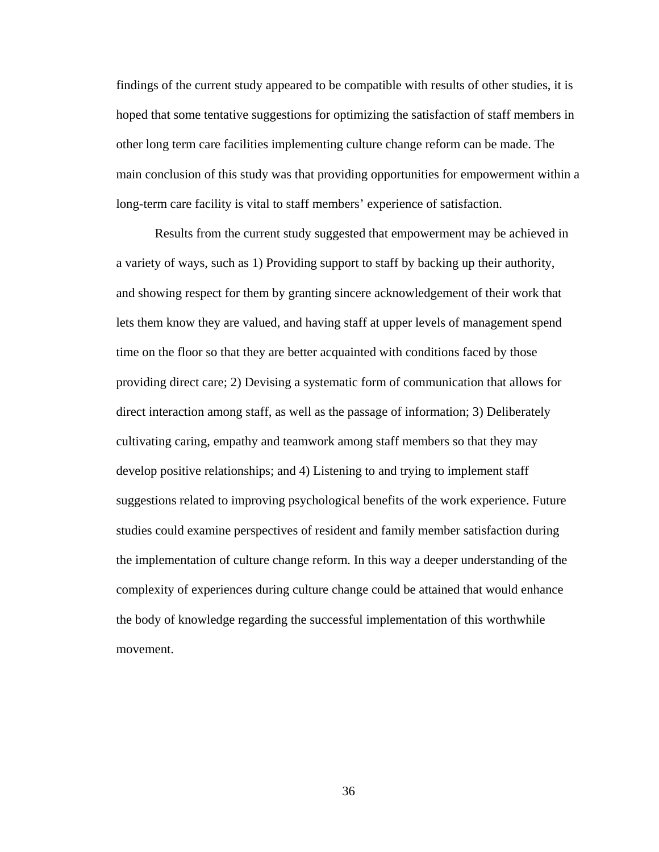findings of the current study appeared to be compatible with results of other studies, it is hoped that some tentative suggestions for optimizing the satisfaction of staff members in other long term care facilities implementing culture change reform can be made. The main conclusion of this study was that providing opportunities for empowerment within a long-term care facility is vital to staff members' experience of satisfaction.

Results from the current study suggested that empowerment may be achieved in a variety of ways, such as 1) Providing support to staff by backing up their authority, and showing respect for them by granting sincere acknowledgement of their work that lets them know they are valued, and having staff at upper levels of management spend time on the floor so that they are better acquainted with conditions faced by those providing direct care; 2) Devising a systematic form of communication that allows for direct interaction among staff, as well as the passage of information; 3) Deliberately cultivating caring, empathy and teamwork among staff members so that they may develop positive relationships; and 4) Listening to and trying to implement staff suggestions related to improving psychological benefits of the work experience. Future studies could examine perspectives of resident and family member satisfaction during the implementation of culture change reform. In this way a deeper understanding of the complexity of experiences during culture change could be attained that would enhance the body of knowledge regarding the successful implementation of this worthwhile movement.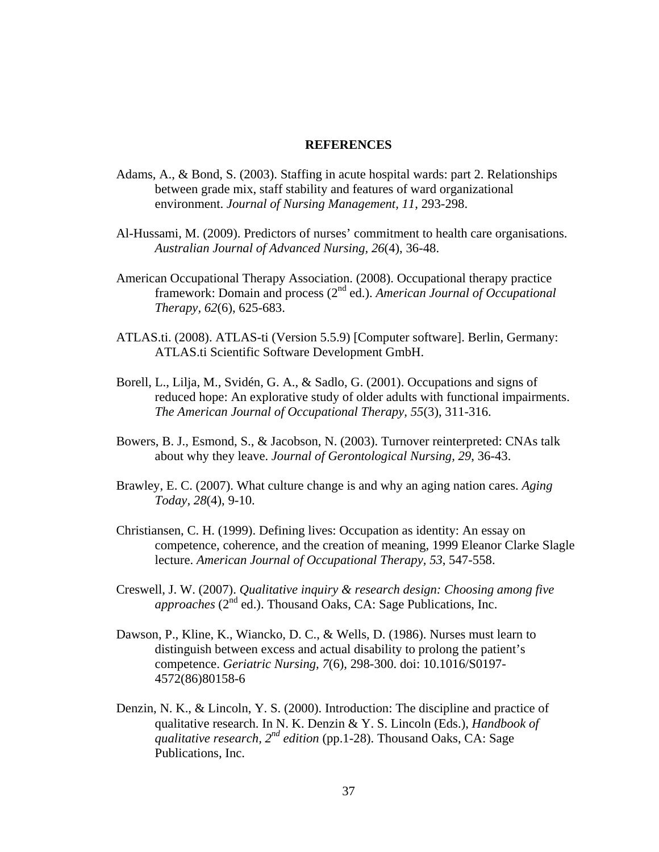### **REFERENCES**

- Adams, A., & Bond, S. (2003). Staffing in acute hospital wards: part 2. Relationships between grade mix, staff stability and features of ward organizational environment. *Journal of Nursing Management, 11*, 293-298.
- Al-Hussami, M. (2009). Predictors of nurses' commitment to health care organisations. *Australian Journal of Advanced Nursing, 26*(4), 36-48.
- American Occupational Therapy Association. (2008). Occupational therapy practice framework: Domain and process (2nd ed.). *American Journal of Occupational Therapy, 62*(6), 625-683.
- ATLAS.ti. (2008). ATLAS-ti (Version 5.5.9) [Computer software]. Berlin, Germany: ATLAS.ti Scientific Software Development GmbH.
- Borell, L., Lilja, M., Svidén, G. A., & Sadlo, G. (2001). Occupations and signs of reduced hope: An explorative study of older adults with functional impairments. *The American Journal of Occupational Therapy, 55*(3), 311-316.
- Bowers, B. J., Esmond, S., & Jacobson, N. (2003). Turnover reinterpreted: CNAs talk about why they leave. *Journal of Gerontological Nursing, 29*, 36-43.
- Brawley, E. C. (2007). What culture change is and why an aging nation cares. *Aging Today, 28*(4), 9-10.
- Christiansen, C. H. (1999). Defining lives: Occupation as identity: An essay on competence, coherence, and the creation of meaning, 1999 Eleanor Clarke Slagle lecture. *American Journal of Occupational Therapy, 53*, 547-558.
- Creswell, J. W. (2007). *Qualitative inquiry & research design: Choosing among five approaches* (2<sup>nd</sup> ed.). Thousand Oaks, CA: Sage Publications, Inc.
- Dawson, P., Kline, K., Wiancko, D. C., & Wells, D. (1986). Nurses must learn to distinguish between excess and actual disability to prolong the patient's competence. *Geriatric Nursing, 7*(6), 298-300. doi: 10.1016/S0197- 4572(86)80158-6
- Denzin, N. K., & Lincoln, Y. S. (2000). Introduction: The discipline and practice of qualitative research. In N. K. Denzin & Y. S. Lincoln (Eds.), *Handbook of qualitative research, 2nd edition* (pp.1-28). Thousand Oaks, CA: Sage Publications, Inc.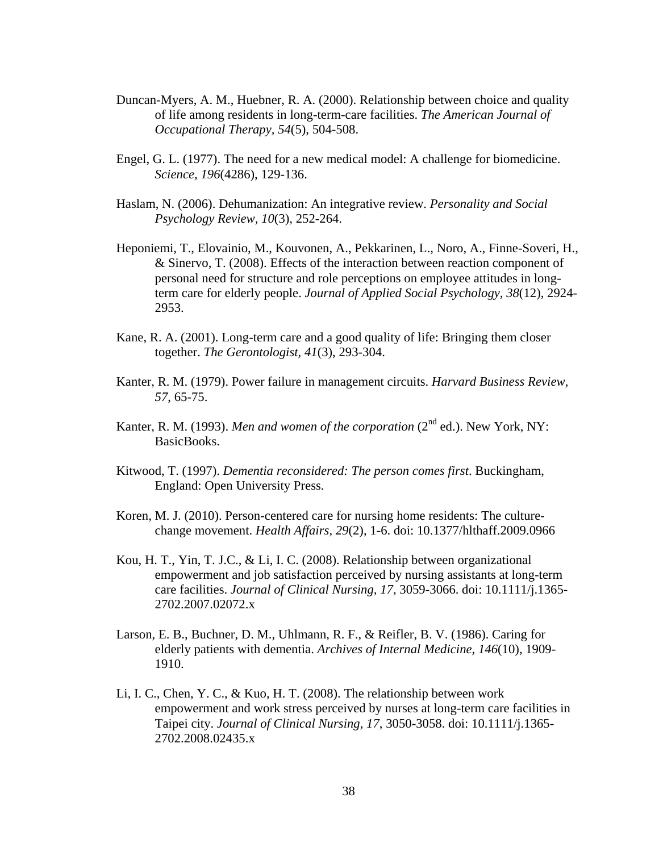- Duncan-Myers, A. M., Huebner, R. A. (2000). Relationship between choice and quality of life among residents in long-term-care facilities. *The American Journal of Occupational Therapy, 54*(5), 504-508.
- Engel, G. L. (1977). The need for a new medical model: A challenge for biomedicine. *Science, 196*(4286), 129-136.
- Haslam, N. (2006). Dehumanization: An integrative review. *Personality and Social Psychology Review, 10*(3), 252-264.
- Heponiemi, T., Elovainio, M., Kouvonen, A., Pekkarinen, L., Noro, A., Finne-Soveri, H., & Sinervo, T. (2008). Effects of the interaction between reaction component of personal need for structure and role perceptions on employee attitudes in longterm care for elderly people. *Journal of Applied Social Psychology, 38*(12), 2924- 2953.
- Kane, R. A. (2001). Long-term care and a good quality of life: Bringing them closer together. *The Gerontologist, 41*(3), 293-304.
- Kanter, R. M. (1979). Power failure in management circuits. *Harvard Business Review, 57*, 65-75.
- Kanter, R. M. (1993). *Men and women of the corporation* (2<sup>nd</sup> ed.). New York, NY: BasicBooks.
- Kitwood, T. (1997). *Dementia reconsidered: The person comes first*. Buckingham, England: Open University Press.
- Koren, M. J. (2010). Person-centered care for nursing home residents: The culturechange movement. *Health Affairs, 29*(2), 1-6. doi: 10.1377/hlthaff.2009.0966
- Kou, H. T., Yin, T. J.C., & Li, I. C. (2008). Relationship between organizational empowerment and job satisfaction perceived by nursing assistants at long-term care facilities. *Journal of Clinical Nursing, 17*, 3059-3066. doi: 10.1111/j.1365- 2702.2007.02072.x
- Larson, E. B., Buchner, D. M., Uhlmann, R. F., & Reifler, B. V. (1986). Caring for elderly patients with dementia. *Archives of Internal Medicine, 146*(10), 1909- 1910.
- Li, I. C., Chen, Y. C., & Kuo, H. T. (2008). The relationship between work empowerment and work stress perceived by nurses at long-term care facilities in Taipei city. *Journal of Clinical Nursing, 17*, 3050-3058. doi: 10.1111/j.1365- 2702.2008.02435.x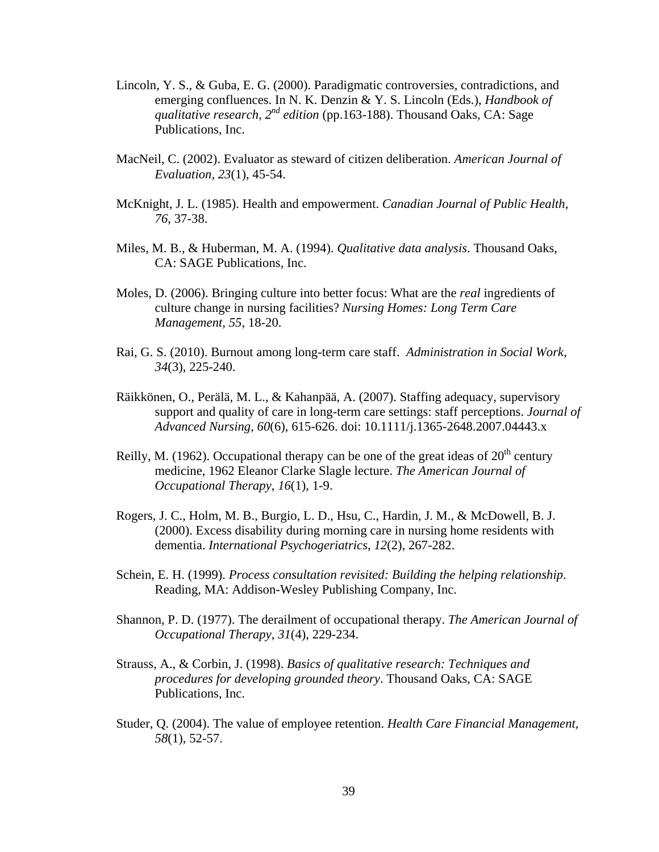- Lincoln, Y. S., & Guba, E. G. (2000). Paradigmatic controversies, contradictions, and emerging confluences. In N. K. Denzin & Y. S. Lincoln (Eds.), *Handbook of qualitative research, 2nd edition* (pp.163-188). Thousand Oaks, CA: Sage Publications, Inc.
- MacNeil, C. (2002). Evaluator as steward of citizen deliberation. *American Journal of Evaluation, 23*(1), 45-54.
- McKnight, J. L. (1985). Health and empowerment. *Canadian Journal of Public Health, 76*, 37-38.
- Miles, M. B., & Huberman, M. A. (1994). *Qualitative data analysis*. Thousand Oaks, CA: SAGE Publications, Inc.
- Moles, D. (2006). Bringing culture into better focus: What are the *real* ingredients of culture change in nursing facilities? *Nursing Homes: Long Term Care Management, 55*, 18-20.
- Rai, G. S. (2010). Burnout among long-term care staff. *Administration in Social Work, 34*(3), 225-240.
- Räikkönen, O., Perälä, M. L., & Kahanpää, A. (2007). Staffing adequacy, supervisory support and quality of care in long-term care settings: staff perceptions. *Journal of Advanced Nursing, 60*(6), 615-626. doi: 10.1111/j.1365-2648.2007.04443.x
- Reilly, M. (1962). Occupational therapy can be one of the great ideas of  $20<sup>th</sup>$  century medicine, 1962 Eleanor Clarke Slagle lecture. *The American Journal of Occupational Therapy, 16*(1), 1-9.
- Rogers, J. C., Holm, M. B., Burgio, L. D., Hsu, C., Hardin, J. M., & McDowell, B. J. (2000). Excess disability during morning care in nursing home residents with dementia. *International Psychogeriatrics, 12*(2), 267-282.
- Schein, E. H. (1999). *Process consultation revisited: Building the helping relationship*. Reading, MA: Addison-Wesley Publishing Company, Inc.
- Shannon, P. D. (1977). The derailment of occupational therapy. *The American Journal of Occupational Therapy, 31*(4), 229-234.
- Strauss, A., & Corbin, J. (1998). *Basics of qualitative research: Techniques and procedures for developing grounded theory*. Thousand Oaks, CA: SAGE Publications, Inc.
- Studer, Q. (2004). The value of employee retention. *Health Care Financial Management, 58*(1), 52-57.